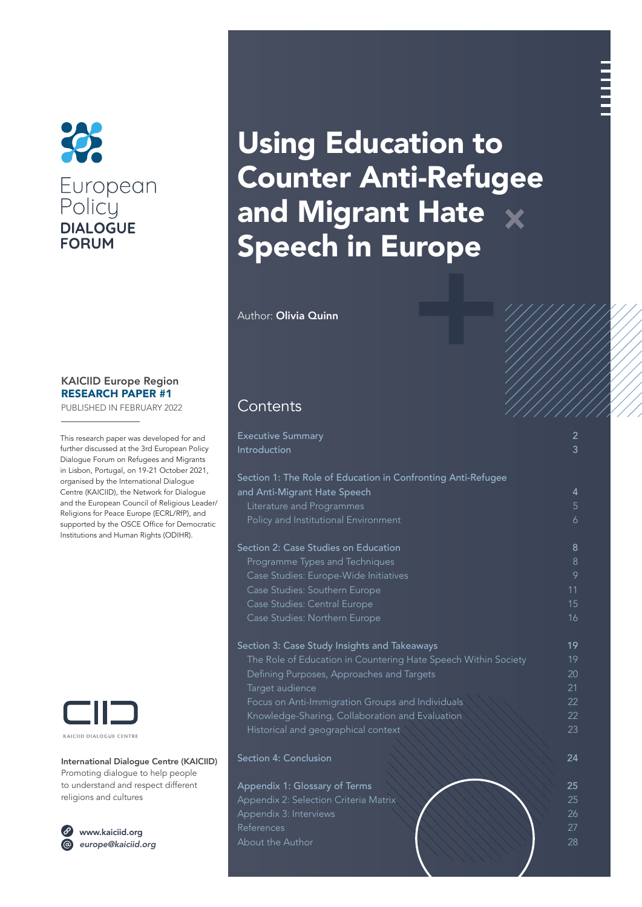

### KAICIID Europe Region RESEARCH PAPER #1

PUBLISHED IN FEBRUARY 2022

This research paper was developed for and further discussed at the 3rd European Policy Dialogue Forum on Refugees and Migrants in Lisbon, Portugal, on 19-21 October 2021, organised by the International Dialogue Centre (KAICIID), the Network for Dialogue and the European Council of Religious Leader/ Religions for Peace Europe (ECRL/RfP), and supported by the OSCE Office for Democratic Institutions and Human Rights (ODIHR).



International Dialogue Centre (KAICIID) Promoting dialogue to help people to understand and respect different religions and cultures



[www.kaiciid.org](http://www.kaiciid.org) *[europe@kaiciid.org](mailto:europe@kaiciid.org)*

# Using Education to Counter Anti-Refugee and Migrant Hate  $\times$ Speech in Europe

Author: Olivia Quinn

# **Contents**

| <b>Executive Summary</b><br>Introduction                       | 2<br>3 |
|----------------------------------------------------------------|--------|
| Section 1: The Role of Education in Confronting Anti-Refugee   |        |
| and Anti-Migrant Hate Speech                                   | 4      |
| Literature and Programmes                                      | 5      |
| Policy and Institutional Environment                           | 6      |
| Section 2: Case Studies on Education                           | 8      |
| Programme Types and Techniques                                 | 8      |
| Case Studies: Europe-Wide Initiatives                          | 9      |
| Case Studies: Southern Europe                                  | 11     |
| Case Studies: Central Europe                                   | 15     |
| Case Studies: Northern Europe                                  | 16     |
| Section 3: Case Study Insights and Takeaways                   | 19     |
| The Role of Education in Countering Hate Speech Within Society | 19     |
| Defining Purposes, Approaches and Targets                      | 20     |
| Target audience                                                | 21     |
| Focus on Anti-Immigration Groups and Individuals               | 22     |
| Knowledge-Sharing, Collaboration and Evaluation                | 22     |
| Historical and geographical context                            | 23     |
| Section 4: Conclusion                                          | 24     |
| Appendix 1: Glossary of Terms                                  | 25     |
| Appendix 2: Selection Criteria Matrix                          | 25     |
| Appendix 3: Interviews                                         | 26     |
| References                                                     | 27     |
| About the Author                                               | 28     |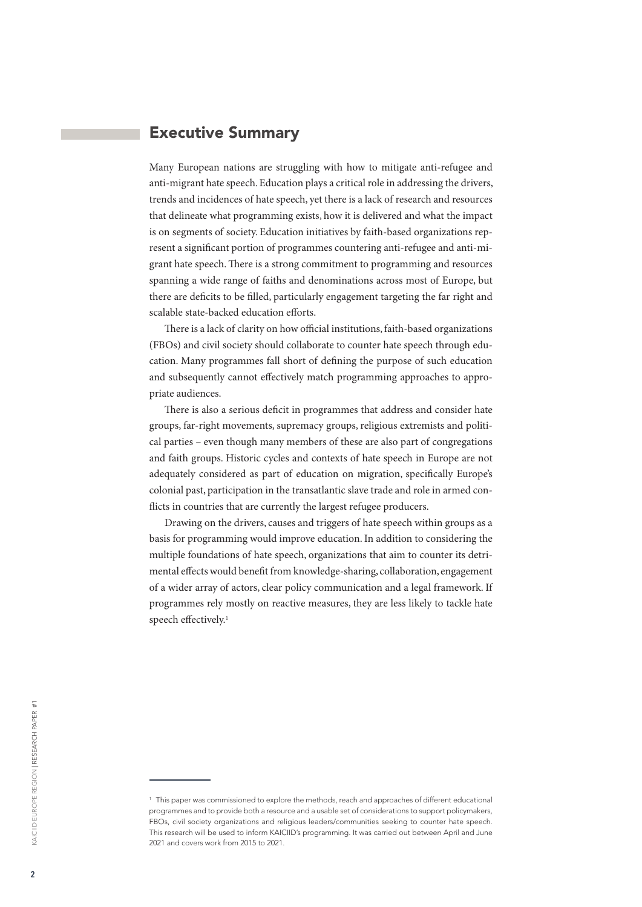# <span id="page-1-0"></span>Executive Summary

Many European nations are struggling with how to mitigate anti-refugee and anti-migrant hate speech. Education plays a critical role in addressing the drivers, trends and incidences of hate speech, yet there is a lack of research and resources that delineate what programming exists, how it is delivered and what the impact is on segments of society. Education initiatives by faith-based organizations represent a significant portion of programmes countering anti-refugee and anti-migrant hate speech. There is a strong commitment to programming and resources spanning a wide range of faiths and denominations across most of Europe, but there are deficits to be filled, particularly engagement targeting the far right and scalable state-backed education efforts.

There is a lack of clarity on how official institutions, faith-based organizations (FBOs) and civil society should collaborate to counter hate speech through education. Many programmes fall short of defining the purpose of such education and subsequently cannot effectively match programming approaches to appropriate audiences.

There is also a serious deficit in programmes that address and consider hate groups, far-right movements, supremacy groups, religious extremists and political parties – even though many members of these are also part of congregations and faith groups. Historic cycles and contexts of hate speech in Europe are not adequately considered as part of education on migration, specifically Europe's colonial past, participation in the transatlantic slave trade and role in armed conflicts in countries that are currently the largest refugee producers.

Drawing on the drivers, causes and triggers of hate speech within groups as a basis for programming would improve education. In addition to considering the multiple foundations of hate speech, organizations that aim to counter its detrimental effects would benefit from knowledge-sharing, collaboration, engagement of a wider array of actors, clear policy communication and a legal framework. If programmes rely mostly on reactive measures, they are less likely to tackle hate speech effectively.<sup>1</sup>

<sup>1</sup> This paper was commissioned to explore the methods, reach and approaches of different educational programmes and to provide both a resource and a usable set of considerations to support policymakers, FBOs, civil society organizations and religious leaders/communities seeking to counter hate speech. This research will be used to inform KAICIID's programming. It was carried out between April and June 2021 and covers work from 2015 to 2021.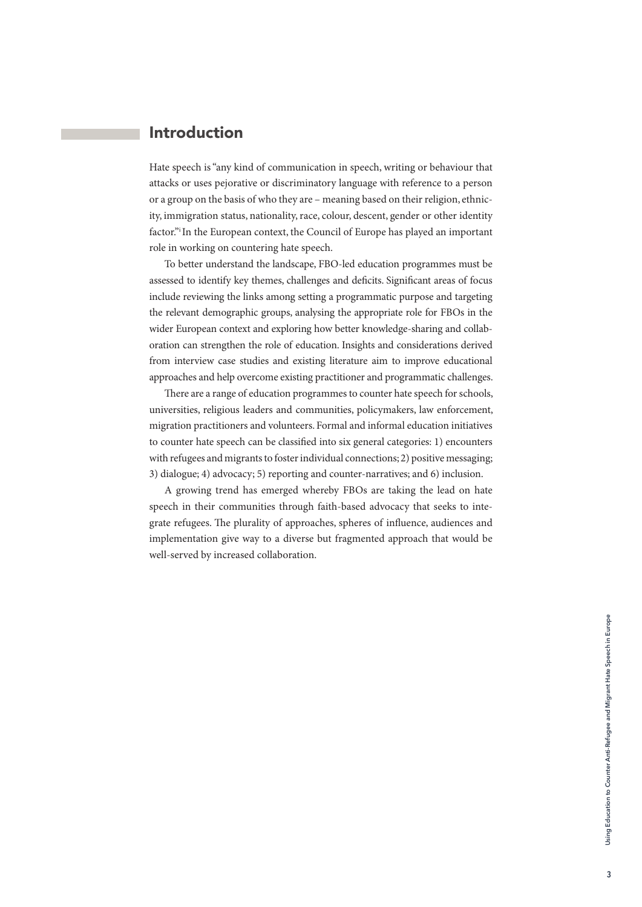# <span id="page-2-0"></span>Introduction

Hate speech is "any kind of communication in speech, writing or behaviour that attacks or uses pejorative or discriminatory language with reference to a person or a group on the basis of who they are – meaning based on their religion, ethnicity, immigration status, nationality, race, colour, descent, gender or other identity factor."i In the European context, the Council of Europe has played an important role in working on countering hate speech.

To better understand the landscape, FBO-led education programmes must be assessed to identify key themes, challenges and deficits. Significant areas of focus include reviewing the links among setting a programmatic purpose and targeting the relevant demographic groups, analysing the appropriate role for FBOs in the wider European context and exploring how better knowledge-sharing and collaboration can strengthen the role of education. Insights and considerations derived from interview case studies and existing literature aim to improve educational approaches and help overcome existing practitioner and programmatic challenges.

There are a range of education programmes to counter hate speech for schools, universities, religious leaders and communities, policymakers, law enforcement, migration practitioners and volunteers. Formal and informal education initiatives to counter hate speech can be classified into six general categories: 1) encounters with refugees and migrants to foster individual connections; 2) positive messaging; 3) dialogue; 4) advocacy; 5) reporting and counter-narratives; and 6) inclusion.

A growing trend has emerged whereby FBOs are taking the lead on hate speech in their communities through faith-based advocacy that seeks to integrate refugees. The plurality of approaches, spheres of influence, audiences and implementation give way to a diverse but fragmented approach that would be well-served by increased collaboration.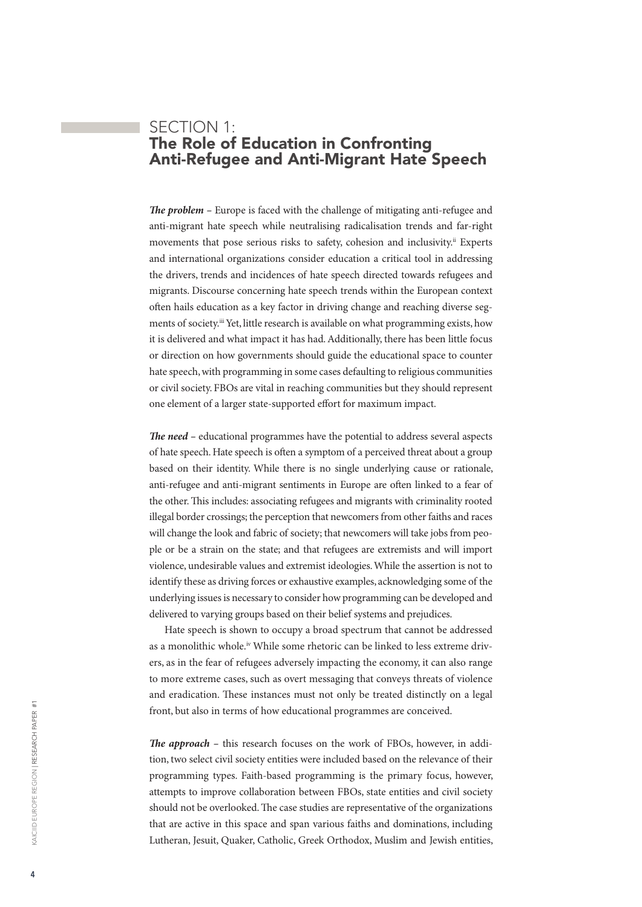# <span id="page-3-0"></span>SECTION 1: The Role of Education in Confronting Anti-Refugee and Anti-Migrant Hate Speech

*The problem –* Europe is faced with the challenge of mitigating anti-refugee and anti-migrant hate speech while neutralising radicalisation trends and far-right movements that pose serious risks to safety, cohesion and inclusivity.<sup>ii</sup> Experts and international organizations consider education a critical tool in addressing the drivers, trends and incidences of hate speech directed towards refugees and migrants. Discourse concerning hate speech trends within the European context often hails education as a key factor in driving change and reaching diverse segments of society.iii Yet, little research is available on what programming exists, how it is delivered and what impact it has had. Additionally, there has been little focus or direction on how governments should guide the educational space to counter hate speech, with programming in some cases defaulting to religious communities or civil society. FBOs are vital in reaching communities but they should represent one element of a larger state-supported effort for maximum impact.

*The need –* educational programmes have the potential to address several aspects of hate speech. Hate speech is often a symptom of a perceived threat about a group based on their identity. While there is no single underlying cause or rationale, anti-refugee and anti-migrant sentiments in Europe are often linked to a fear of the other. This includes: associating refugees and migrants with criminality rooted illegal border crossings; the perception that newcomers from other faiths and races will change the look and fabric of society; that newcomers will take jobs from people or be a strain on the state; and that refugees are extremists and will import violence, undesirable values and extremist ideologies. While the assertion is not to identify these as driving forces or exhaustive examples, acknowledging some of the underlying issues is necessary to consider how programming can be developed and delivered to varying groups based on their belief systems and prejudices.

Hate speech is shown to occupy a broad spectrum that cannot be addressed as a monolithic whole.<sup>iv</sup> While some rhetoric can be linked to less extreme drivers, as in the fear of refugees adversely impacting the economy, it can also range to more extreme cases, such as overt messaging that conveys threats of violence and eradication. These instances must not only be treated distinctly on a legal front, but also in terms of how educational programmes are conceived.

*The approach –* this research focuses on the work of FBOs, however, in addition, two select civil society entities were included based on the relevance of their programming types. Faith-based programming is the primary focus, however, attempts to improve collaboration between FBOs, state entities and civil society should not be overlooked. The case studies are representative of the organizations that are active in this space and span various faiths and dominations, including Lutheran, Jesuit, Quaker, Catholic, Greek Orthodox, Muslim and Jewish entities,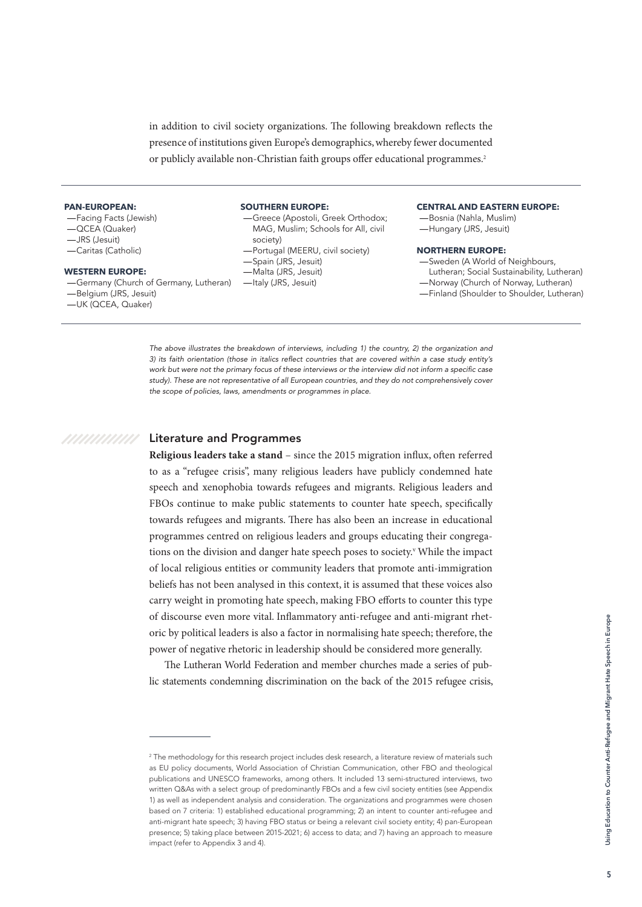<span id="page-4-0"></span>in addition to civil society organizations. The following breakdown reflects the presence of institutions given Europe's demographics, whereby fewer documented or publicly available non-Christian faith groups offer educational programmes.<sup>2</sup>

#### **PAN-EUROPEAN:**

—Facing Facts (Jewish) —QCEA (Quaker) —JRS (Jesuit) —Caritas (Catholic)

#### **WESTERN EUROPE:**

- —Germany (Church of Germany, Lutheran) —Belgium (JRS, Jesuit)
- —UK (QCEA, Quaker)

### **SOUTHERN EUROPE:**

- —Greece (Apostoli, Greek Orthodox; MAG, Muslim; Schools for All, civil society)
- —Portugal (MEERU, civil society)
- —Spain (JRS, Jesuit)
- —Malta (JRS, Jesuit)
- —Italy (JRS, Jesuit)

#### **CENTRAL AND EASTERN EUROPE:**

—Bosnia (Nahla, Muslim) —Hungary (JRS, Jesuit)

#### **NORTHERN EUROPE:**

—Sweden (A World of Neighbours, Lutheran; Social Sustainability, Lutheran) —Norway (Church of Norway, Lutheran) —Finland (Shoulder to Shoulder, Lutheran)

*The above illustrates the breakdown of interviews, including 1) the country, 2) the organization and*  3) its faith orientation (those in italics reflect countries that are covered within a case study entity's work but were not the primary focus of these interviews or the interview did not inform a specific case *study). These are not representative of all European countries, and they do not comprehensively cover the scope of policies, laws, amendments or programmes in place.*

### //////////// Literature and Programmes

**Religious leaders take a stand** – since the 2015 migration influx, often referred to as a "refugee crisis", many religious leaders have publicly condemned hate speech and xenophobia towards refugees and migrants. Religious leaders and FBOs continue to make public statements to counter hate speech, specifically towards refugees and migrants. There has also been an increase in educational programmes centred on religious leaders and groups educating their congregations on the division and danger hate speech poses to society.<sup>v</sup> While the impact of local religious entities or community leaders that promote anti-immigration beliefs has not been analysed in this context, it is assumed that these voices also carry weight in promoting hate speech, making FBO efforts to counter this type of discourse even more vital. Inflammatory anti-refugee and anti-migrant rhetoric by political leaders is also a factor in normalising hate speech; therefore, the power of negative rhetoric in leadership should be considered more generally.

The Lutheran World Federation and member churches made a series of public statements condemning discrimination on the back of the 2015 refugee crisis,

 $^2$  The methodology for this research project includes desk research, a literature review of materials such as EU policy documents, World Association of Christian Communication, other FBO and theological publications and UNESCO frameworks, among others. It included 13 semi-structured interviews, two written Q&As with a select group of predominantly FBOs and a few civil society entities (see Appendix 1) as well as independent analysis and consideration. The organizations and programmes were chosen based on 7 criteria: 1) established educational programming; 2) an intent to counter anti-refugee and anti-migrant hate speech; 3) having FBO status or being a relevant civil society entity; 4) pan-European presence; 5) taking place between 2015-2021; 6) access to data; and 7) having an approach to measure impact (refer to Appendix 3 and 4).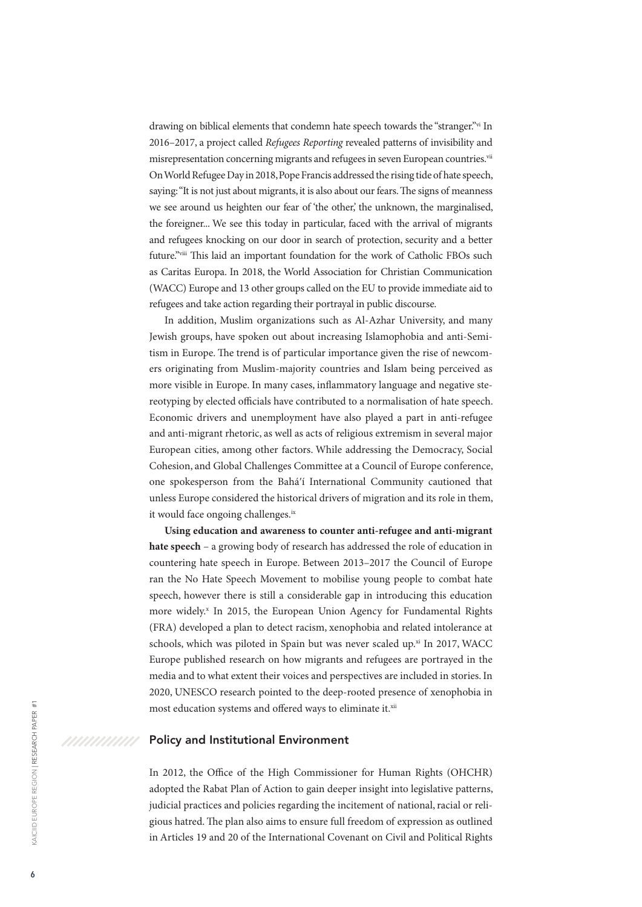<span id="page-5-0"></span>drawing on biblical elements that condemn hate speech towards the "stranger."<sup>vi</sup> In 2016–2017, a project called *Refugees Reporting* revealed patterns of invisibility and misrepresentation concerning migrants and refugees in seven European countries.<sup>vii</sup> On World Refugee Day in 2018, Pope Francis addressed the rising tide of hate speech, saying: "It is not just about migrants, it is also about our fears. The signs of meanness we see around us heighten our fear of 'the other,' the unknown, the marginalised, the foreigner... We see this today in particular, faced with the arrival of migrants and refugees knocking on our door in search of protection, security and a better future."viii This laid an important foundation for the work of Catholic FBOs such as Caritas Europa. In 2018, the World Association for Christian Communication (WACC) Europe and 13 other groups called on the EU to provide immediate aid to refugees and take action regarding their portrayal in public discourse.

In addition, Muslim organizations such as Al-Azhar University, and many Jewish groups, have spoken out about increasing Islamophobia and anti-Semitism in Europe. The trend is of particular importance given the rise of newcomers originating from Muslim-majority countries and Islam being perceived as more visible in Europe. In many cases, inflammatory language and negative stereotyping by elected officials have contributed to a normalisation of hate speech. Economic drivers and unemployment have also played a part in anti-refugee and anti-migrant rhetoric, as well as acts of religious extremism in several major European cities, among other factors. While addressing the Democracy, Social Cohesion, and Global Challenges Committee at a Council of Europe conference, one spokesperson from the Baháʹí International Community cautioned that unless Europe considered the historical drivers of migration and its role in them, it would face ongoing challenges.<sup>ix</sup>

**Using education and awareness to counter anti-refugee and anti-migrant hate speech** – a growing body of research has addressed the role of education in countering hate speech in Europe. Between 2013–2017 the Council of Europe ran the No Hate Speech Movement to mobilise young people to combat hate speech, however there is still a considerable gap in introducing this education more widely.<sup>x</sup> In 2015, the European Union Agency for Fundamental Rights (FRA) developed a plan to detect racism, xenophobia and related intolerance at schools, which was piloted in Spain but was never scaled up.<sup>xi</sup> In 2017, WACC Europe published research on how migrants and refugees are portrayed in the media and to what extent their voices and perspectives are included in stories. In 2020, UNESCO research pointed to the deep-rooted presence of xenophobia in most education systems and offered ways to eliminate it.<sup>xii</sup>

### Policy and Institutional Environment

In 2012, the Office of the High Commissioner for Human Rights (OHCHR) adopted the Rabat Plan of Action to gain deeper insight into legislative patterns, judicial practices and policies regarding the incitement of national, racial or religious hatred. The plan also aims to ensure full freedom of expression as outlined in Articles 19 and 20 of the International Covenant on Civil and Political Rights

/////////////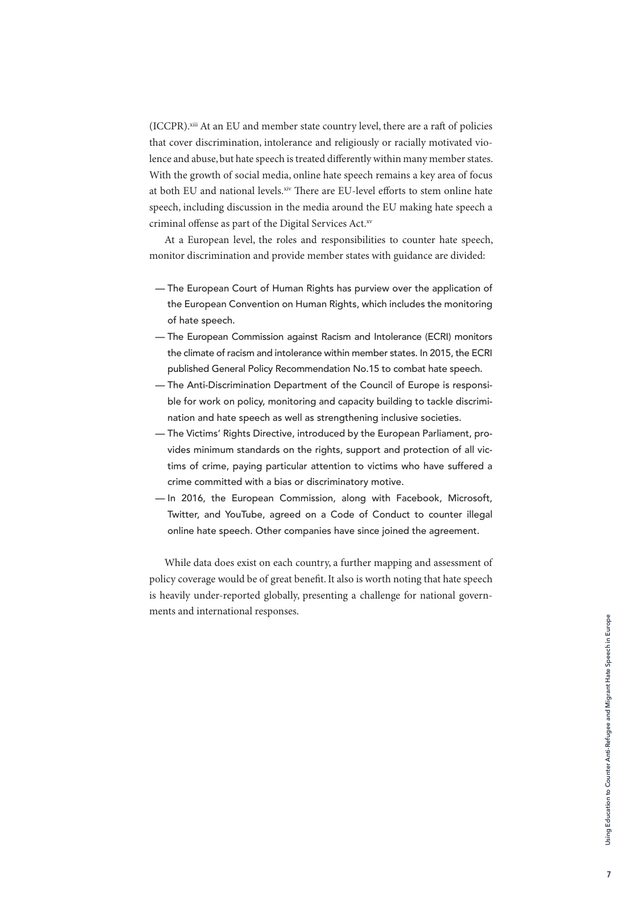(ICCPR).xiii At an EU and member state country level, there are a raft of policies that cover discrimination, intolerance and religiously or racially motivated violence and abuse, but hate speech is treated differently within many member states. With the growth of social media, online hate speech remains a key area of focus at both EU and national levels.xiv There are EU-level efforts to stem online hate speech, including discussion in the media around the EU making hate speech a criminal offense as part of the Digital Services Act.xv

At a European level, the roles and responsibilities to counter hate speech, monitor discrimination and provide member states with guidance are divided:

- The European Court of Human Rights has purview over the application of the European Convention on Human Rights, which includes the monitoring of hate speech.
- The European Commission against Racism and Intolerance (ECRI) monitors the climate of racism and intolerance within member states. In 2015, the ECRI published General Policy Recommendation No.15 to combat hate speech.
- The Anti-Discrimination Department of the Council of Europe is responsible for work on policy, monitoring and capacity building to tackle discrimination and hate speech as well as strengthening inclusive societies.
- The Victims' Rights Directive, introduced by the European Parliament, provides minimum standards on the rights, support and protection of all victims of crime, paying particular attention to victims who have suffered a crime committed with a bias or discriminatory motive.
- In 2016, the European Commission, along with Facebook, Microsoft, Twitter, and YouTube, agreed on a Code of Conduct to counter illegal online hate speech. Other companies have since joined the agreement.

While data does exist on each country, a further mapping and assessment of policy coverage would be of great benefit. It also is worth noting that hate speech is heavily under-reported globally, presenting a challenge for national governments and international responses.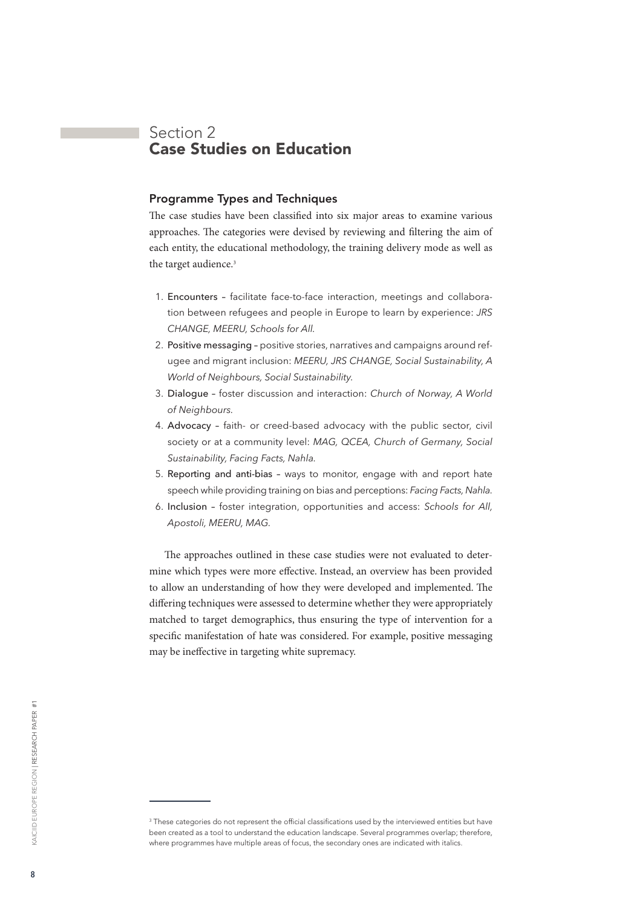# <span id="page-7-0"></span>Section 2 Case Studies on Education

### Programme Types and Techniques

The case studies have been classified into six major areas to examine various approaches. The categories were devised by reviewing and filtering the aim of each entity, the educational methodology, the training delivery mode as well as the target audience.<sup>3</sup>

- 1. Encounters facilitate face-to-face interaction, meetings and collaboration between refugees and people in Europe to learn by experience: *JRS CHANGE, MEERU, Schools for All.*
- 2. Positive messaging positive stories, narratives and campaigns around refugee and migrant inclusion: *MEERU, JRS CHANGE, Social Sustainability, A World of Neighbours, Social Sustainability.*
- 3. Dialogue foster discussion and interaction: *Church of Norway, A World of Neighbours.*
- 4. Advocacy faith- or creed-based advocacy with the public sector, civil society or at a community level: *MAG, QCEA, Church of Germany, Social Sustainability, Facing Facts, Nahla.*
- 5. Reporting and anti-bias ways to monitor, engage with and report hate speech while providing training on bias and perceptions: *Facing Facts, Nahla.*
- 6. Inclusion foster integration, opportunities and access: *Schools for All, Apostoli, MEERU, MAG.*

The approaches outlined in these case studies were not evaluated to determine which types were more effective. Instead, an overview has been provided to allow an understanding of how they were developed and implemented. The differing techniques were assessed to determine whether they were appropriately matched to target demographics, thus ensuring the type of intervention for a specific manifestation of hate was considered. For example, positive messaging may be ineffective in targeting white supremacy.

 $3$  These categories do not represent the official classifications used by the interviewed entities but have been created as a tool to understand the education landscape. Several programmes overlap; therefore, where programmes have multiple areas of focus, the secondary ones are indicated with italics.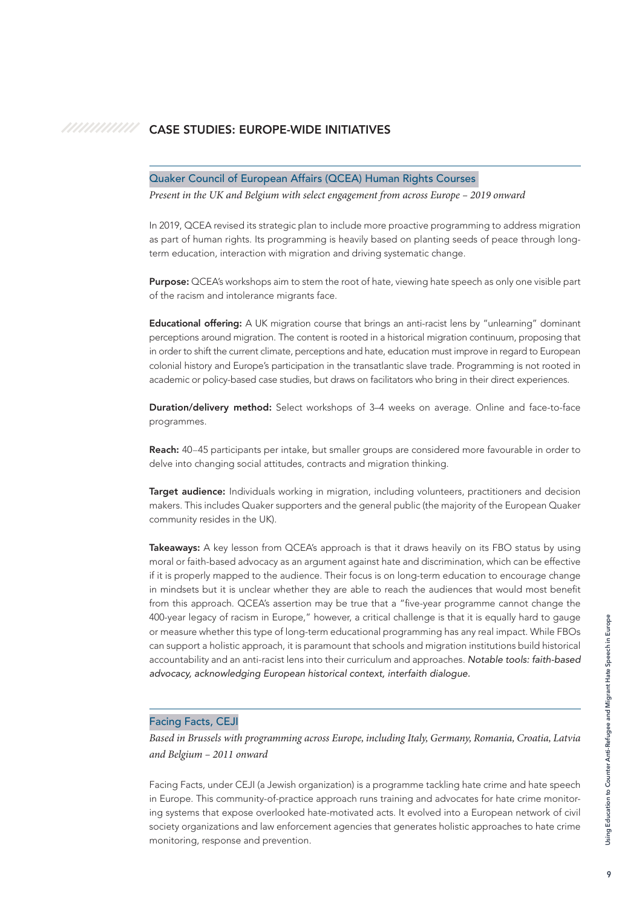#### <span id="page-8-0"></span>///////////// CASE STUDIES: EUROPE-WIDE INITIATIVES

### Quaker Council of European Affairs (QCEA) Human Rights Courses

*Present in the UK and Belgium with select engagement from across Europe – 2019 onward*

In 2019, QCEA revised its strategic plan to include more proactive programming to address migration as part of human rights. Its programming is heavily based on planting seeds of peace through longterm education, interaction with migration and driving systematic change.

Purpose: QCEA's workshops aim to stem the root of hate, viewing hate speech as only one visible part of the racism and intolerance migrants face.

Educational offering: A UK migration course that brings an anti-racist lens by "unlearning" dominant perceptions around migration. The content is rooted in a historical migration continuum, proposing that in order to shift the current climate, perceptions and hate, education must improve in regard to European colonial history and Europe's participation in the transatlantic slave trade. Programming is not rooted in academic or policy-based case studies, but draws on facilitators who bring in their direct experiences.

Duration/delivery method: Select workshops of 3–4 weeks on average. Online and face-to-face programmes.

Reach: 40–45 participants per intake, but smaller groups are considered more favourable in order to delve into changing social attitudes, contracts and migration thinking.

Target audience: Individuals working in migration, including volunteers, practitioners and decision makers. This includes Quaker supporters and the general public (the majority of the European Quaker community resides in the UK).

Takeaways: A key lesson from QCEA's approach is that it draws heavily on its FBO status by using moral or faith-based advocacy as an argument against hate and discrimination, which can be effective if it is properly mapped to the audience. Their focus is on long-term education to encourage change in mindsets but it is unclear whether they are able to reach the audiences that would most benefit from this approach. QCEA's assertion may be true that a "five-year programme cannot change the 400-year legacy of racism in Europe," however, a critical challenge is that it is equally hard to gauge or measure whether this type of long-term educational programming has any real impact. While FBOs can support a holistic approach, it is paramount that schools and migration institutions build historical accountability and an anti-racist lens into their curriculum and approaches. *Notable tools: faith-based advocacy, acknowledging European historical context, interfaith dialogue.* 

### Facing Facts, CEJI

*Based in Brussels with programming across Europe, including Italy, Germany, Romania, Croatia, Latvia and Belgium – 2011 onward*

Facing Facts, under CEJI (a Jewish organization) is a programme tackling hate crime and hate speech in Europe. This community-of-practice approach runs training and advocates for hate crime monitoring systems that expose overlooked hate-motivated acts. It evolved into a European network of civil society organizations and law enforcement agencies that generates holistic approaches to hate crime monitoring, response and prevention.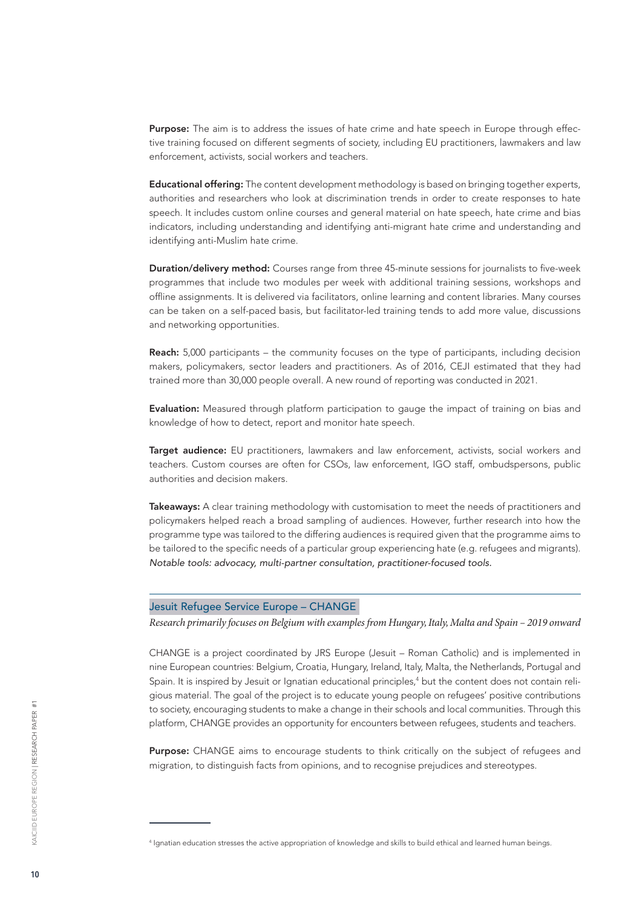Purpose: The aim is to address the issues of hate crime and hate speech in Europe through effective training focused on different segments of society, including EU practitioners, lawmakers and law enforcement, activists, social workers and teachers.

Educational offering: The content development methodology is based on bringing together experts, authorities and researchers who look at discrimination trends in order to create responses to hate speech. It includes custom online courses and general material on hate speech, hate crime and bias indicators, including understanding and identifying anti-migrant hate crime and understanding and identifying anti-Muslim hate crime.

Duration/delivery method: Courses range from three 45-minute sessions for journalists to five-week programmes that include two modules per week with additional training sessions, workshops and offline assignments. It is delivered via facilitators, online learning and content libraries. Many courses can be taken on a self-paced basis, but facilitator-led training tends to add more value, discussions and networking opportunities.

Reach: 5,000 participants – the community focuses on the type of participants, including decision makers, policymakers, sector leaders and practitioners. As of 2016, CEJI estimated that they had trained more than 30,000 people overall. A new round of reporting was conducted in 2021.

Evaluation: Measured through platform participation to gauge the impact of training on bias and knowledge of how to detect, report and monitor hate speech.

Target audience: EU practitioners, lawmakers and law enforcement, activists, social workers and teachers. Custom courses are often for CSOs, law enforcement, IGO staff, ombudspersons, public authorities and decision makers.

Takeaways: A clear training methodology with customisation to meet the needs of practitioners and policymakers helped reach a broad sampling of audiences. However, further research into how the programme type was tailored to the differing audiences is required given that the programme aims to be tailored to the specific needs of a particular group experiencing hate (e.g. refugees and migrants). *Notable tools: advocacy, multi-partner consultation, practitioner-focused tools.* 

### Jesuit Refugee Service Europe – CHANGE

*Research primarily focuses on Belgium with examples from Hungary, Italy, Malta and Spain – 2019 onward*

CHANGE is a project coordinated by JRS Europe (Jesuit – Roman Catholic) and is implemented in nine European countries: Belgium, Croatia, Hungary, Ireland, Italy, Malta, the Netherlands, Portugal and Spain. It is inspired by Jesuit or Ignatian educational principles,<sup>4</sup> but the content does not contain religious material. The goal of the project is to educate young people on refugees' positive contributions to society, encouraging students to make a change in their schools and local communities. Through this platform, CHANGE provides an opportunity for encounters between refugees, students and teachers.

Purpose: CHANGE aims to encourage students to think critically on the subject of refugees and migration, to distinguish facts from opinions, and to recognise prejudices and stereotypes.

<sup>4</sup> Ignatian education stresses the active appropriation of knowledge and skills to build ethical and learned human beings.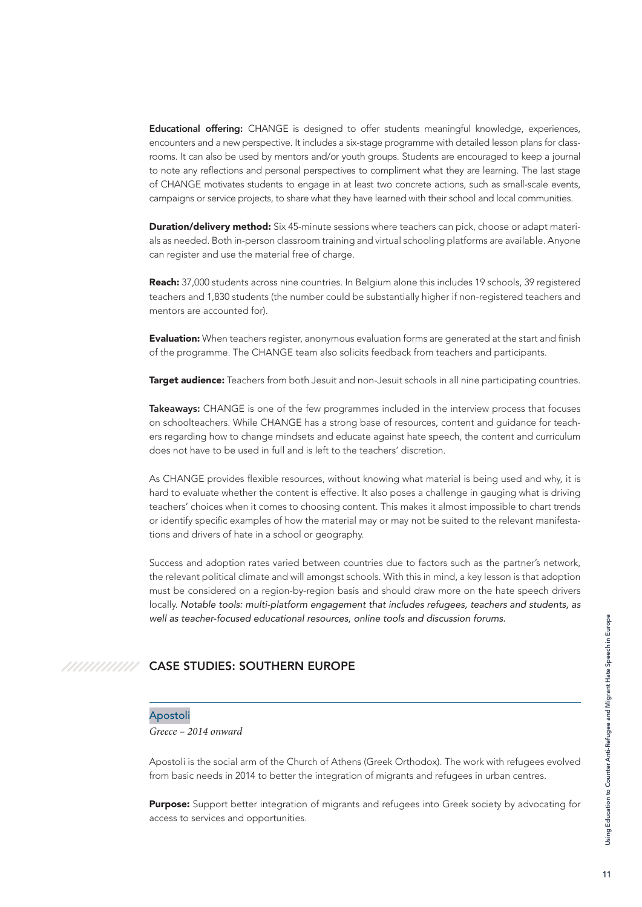<span id="page-10-0"></span>Educational offering: CHANGE is designed to offer students meaningful knowledge, experiences, encounters and a new perspective. It includes a six-stage programme with detailed lesson plans for classrooms. It can also be used by mentors and/or youth groups. Students are encouraged to keep a journal to note any reflections and personal perspectives to compliment what they are learning. The last stage of CHANGE motivates students to engage in at least two concrete actions, such as small-scale events, campaigns or service projects, to share what they have learned with their school and local communities.

**Duration/delivery method:** Six 45-minute sessions where teachers can pick, choose or adapt materials as needed. Both in-person classroom training and virtual schooling platforms are available. Anyone can register and use the material free of charge.

Reach: 37,000 students across nine countries. In Belgium alone this includes 19 schools, 39 registered teachers and 1,830 students (the number could be substantially higher if non-registered teachers and mentors are accounted for).

**Evaluation:** When teachers register, anonymous evaluation forms are generated at the start and finish of the programme. The CHANGE team also solicits feedback from teachers and participants.

**Target audience:** Teachers from both Jesuit and non-Jesuit schools in all nine participating countries.

Takeaways: CHANGE is one of the few programmes included in the interview process that focuses on schoolteachers. While CHANGE has a strong base of resources, content and guidance for teachers regarding how to change mindsets and educate against hate speech, the content and curriculum does not have to be used in full and is left to the teachers' discretion.

As CHANGE provides flexible resources, without knowing what material is being used and why, it is hard to evaluate whether the content is effective. It also poses a challenge in gauging what is driving teachers' choices when it comes to choosing content. This makes it almost impossible to chart trends or identify specific examples of how the material may or may not be suited to the relevant manifestations and drivers of hate in a school or geography.

Success and adoption rates varied between countries due to factors such as the partner's network, the relevant political climate and will amongst schools. With this in mind, a key lesson is that adoption must be considered on a region-by-region basis and should draw more on the hate speech drivers locally. *Notable tools: multi-platform engagement that includes refugees, teachers and students, as well as teacher-focused educational resources, online tools and discussion forums.*

#### CASE STUDIES: SOUTHERN EUROPE /////////////

### Apostoli

*Greece – 2014 onward*

Apostoli is the social arm of the Church of Athens (Greek Orthodox). The work with refugees evolved from basic needs in 2014 to better the integration of migrants and refugees in urban centres.

Purpose: Support better integration of migrants and refugees into Greek society by advocating for access to services and opportunities.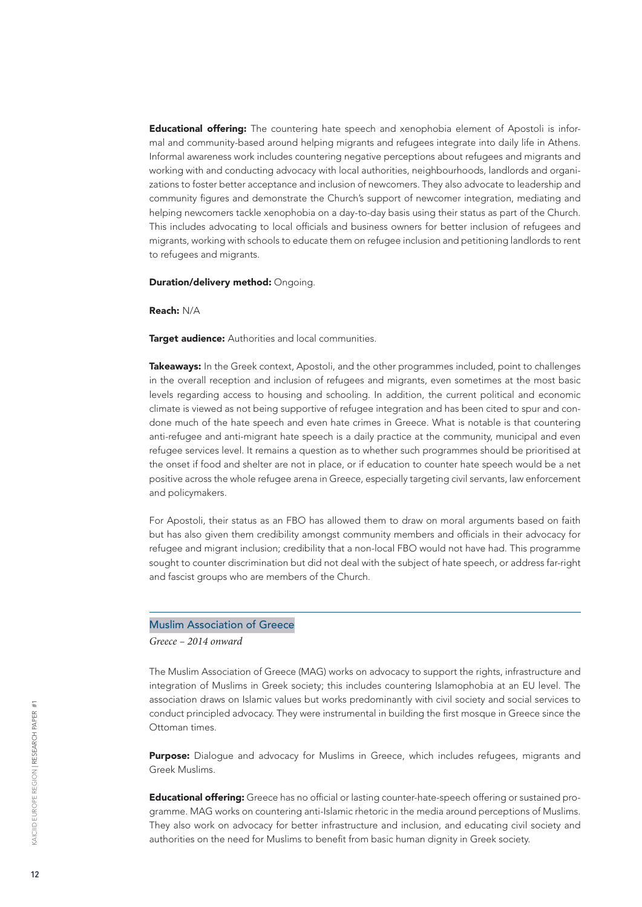Educational offering: The countering hate speech and xenophobia element of Apostoli is informal and community-based around helping migrants and refugees integrate into daily life in Athens. Informal awareness work includes countering negative perceptions about refugees and migrants and working with and conducting advocacy with local authorities, neighbourhoods, landlords and organizations to foster better acceptance and inclusion of newcomers. They also advocate to leadership and community figures and demonstrate the Church's support of newcomer integration, mediating and helping newcomers tackle xenophobia on a day-to-day basis using their status as part of the Church. This includes advocating to local officials and business owners for better inclusion of refugees and migrants, working with schools to educate them on refugee inclusion and petitioning landlords to rent to refugees and migrants.

Duration/delivery method: Ongoing.

Reach: N/A

**Target audience:** Authorities and local communities.

Takeaways: In the Greek context, Apostoli, and the other programmes included, point to challenges in the overall reception and inclusion of refugees and migrants, even sometimes at the most basic levels regarding access to housing and schooling. In addition, the current political and economic climate is viewed as not being supportive of refugee integration and has been cited to spur and condone much of the hate speech and even hate crimes in Greece. What is notable is that countering anti-refugee and anti-migrant hate speech is a daily practice at the community, municipal and even refugee services level. It remains a question as to whether such programmes should be prioritised at the onset if food and shelter are not in place, or if education to counter hate speech would be a net positive across the whole refugee arena in Greece, especially targeting civil servants, law enforcement and policymakers.

For Apostoli, their status as an FBO has allowed them to draw on moral arguments based on faith but has also given them credibility amongst community members and officials in their advocacy for refugee and migrant inclusion; credibility that a non-local FBO would not have had. This programme sought to counter discrimination but did not deal with the subject of hate speech, or address far-right and fascist groups who are members of the Church.

### Muslim Association of Greece

*Greece – 2014 onward*

The Muslim Association of Greece (MAG) works on advocacy to support the rights, infrastructure and integration of Muslims in Greek society; this includes countering Islamophobia at an EU level. The association draws on Islamic values but works predominantly with civil society and social services to conduct principled advocacy. They were instrumental in building the first mosque in Greece since the Ottoman times.

Purpose: Dialogue and advocacy for Muslims in Greece, which includes refugees, migrants and Greek Muslims.

**Educational offering:** Greece has no official or lasting counter-hate-speech offering or sustained programme. MAG works on countering anti-Islamic rhetoric in the media around perceptions of Muslims. They also work on advocacy for better infrastructure and inclusion, and educating civil society and authorities on the need for Muslims to benefit from basic human dignity in Greek society.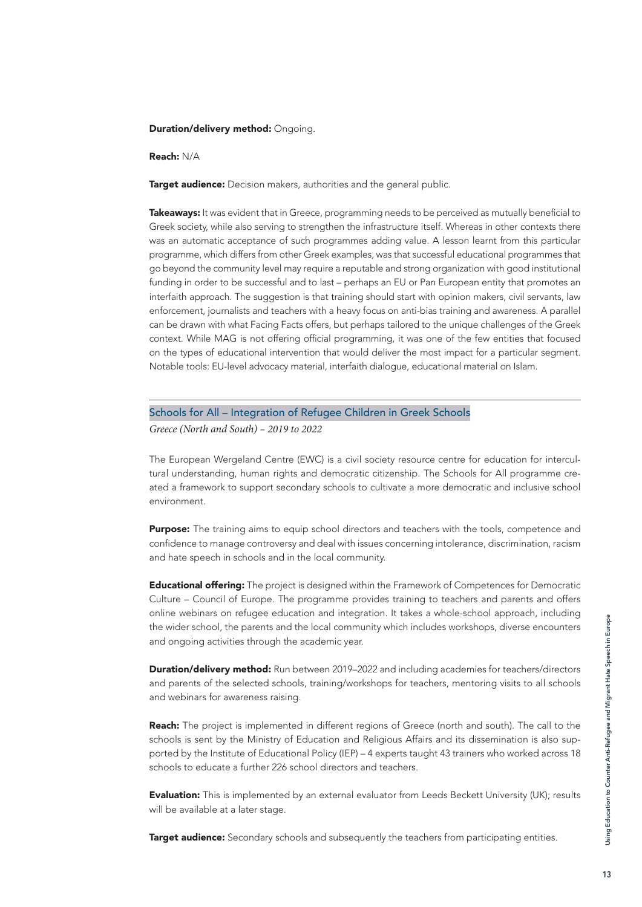### Duration/delivery method: Ongoing.

Reach: N/A

**Target audience:** Decision makers, authorities and the general public.

Takeaways: It was evident that in Greece, programming needs to be perceived as mutually beneficial to Greek society, while also serving to strengthen the infrastructure itself. Whereas in other contexts there was an automatic acceptance of such programmes adding value. A lesson learnt from this particular programme, which differs from other Greek examples, was that successful educational programmes that go beyond the community level may require a reputable and strong organization with good institutional funding in order to be successful and to last – perhaps an EU or Pan European entity that promotes an interfaith approach. The suggestion is that training should start with opinion makers, civil servants, law enforcement, journalists and teachers with a heavy focus on anti-bias training and awareness. A parallel can be drawn with what Facing Facts offers, but perhaps tailored to the unique challenges of the Greek context. While MAG is not offering official programming, it was one of the few entities that focused on the types of educational intervention that would deliver the most impact for a particular segment. Notable tools: EU-level advocacy material, interfaith dialogue, educational material on Islam.

Schools for All – Integration of Refugee Children in Greek Schools

*Greece (North and South) – 2019 to 2022*

The European Wergeland Centre (EWC) is a civil society resource centre for education for intercultural understanding, human rights and democratic citizenship. The Schools for All programme created a framework to support secondary schools to cultivate a more democratic and inclusive school environment.

**Purpose:** The training aims to equip school directors and teachers with the tools, competence and confidence to manage controversy and deal with issues concerning intolerance, discrimination, racism and hate speech in schools and in the local community.

**Educational offering:** The project is designed within the Framework of Competences for Democratic Culture – Council of Europe. The programme provides training to teachers and parents and offers online webinars on refugee education and integration. It takes a whole-school approach, including the wider school, the parents and the local community which includes workshops, diverse encounters and ongoing activities through the academic year.

**Duration/delivery method:** Run between 2019–2022 and including academies for teachers/directors and parents of the selected schools, training/workshops for teachers, mentoring visits to all schools and webinars for awareness raising.

Reach: The project is implemented in different regions of Greece (north and south). The call to the schools is sent by the Ministry of Education and Religious Affairs and its dissemination is also supported by the Institute of Educational Policy (IEP) – 4 experts taught 43 trainers who worked across 18 schools to educate a further 226 school directors and teachers.

**Evaluation:** This is implemented by an external evaluator from Leeds Beckett University (UK); results will be available at a later stage.

**Target audience:** Secondary schools and subsequently the teachers from participating entities.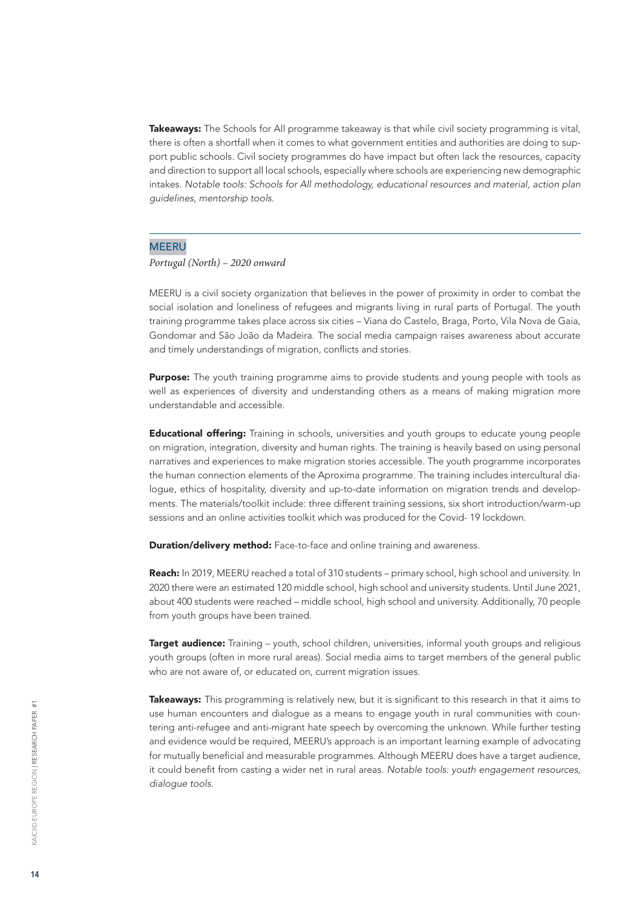Takeaways: The Schools for All programme takeaway is that while civil society programming is vital, there is often a shortfall when it comes to what government entities and authorities are doing to support public schools. Civil society programmes do have impact but often lack the resources, capacity and direction to support all local schools, especially where schools are experiencing new demographic intakes. *Notable tools: Schools for All methodology, educational resources and material, action plan guidelines, mentorship tools.*

### **MEERU**

*Portugal (North) – 2020 onward*

MEERU is a civil society organization that believes in the power of proximity in order to combat the social isolation and loneliness of refugees and migrants living in rural parts of Portugal. The youth training programme takes place across six cities – Viana do Castelo, Braga, Porto, Vila Nova de Gaia, Gondomar and São João da Madeira. The social media campaign raises awareness about accurate and timely understandings of migration, conflicts and stories.

Purpose: The youth training programme aims to provide students and young people with tools as well as experiences of diversity and understanding others as a means of making migration more understandable and accessible.

Educational offering: Training in schools, universities and youth groups to educate young people on migration, integration, diversity and human rights. The training is heavily based on using personal narratives and experiences to make migration stories accessible. The youth programme incorporates the human connection elements of the Aproxima programme. The training includes intercultural dialogue, ethics of hospitality, diversity and up-to-date information on migration trends and developments. The materials/toolkit include: three different training sessions, six short introduction/warm-up sessions and an online activities toolkit which was produced for the Covid- 19 lockdown.

**Duration/delivery method:** Face-to-face and online training and awareness.

Reach: In 2019, MEERU reached a total of 310 students – primary school, high school and university. In 2020 there were an estimated 120 middle school, high school and university students. Until June 2021, about 400 students were reached – middle school, high school and university. Additionally, 70 people from youth groups have been trained.

**Target audience:** Training – youth, school children, universities, informal youth groups and religious youth groups (often in more rural areas). Social media aims to target members of the general public who are not aware of, or educated on, current migration issues.

Takeaways: This programming is relatively new, but it is significant to this research in that it aims to use human encounters and dialogue as a means to engage youth in rural communities with countering anti-refugee and anti-migrant hate speech by overcoming the unknown. While further testing and evidence would be required, MEERU's approach is an important learning example of advocating for mutually beneficial and measurable programmes. Although MEERU does have a target audience, it could benefit from casting a wider net in rural areas. *Notable tools: youth engagement resources, dialogue tools.*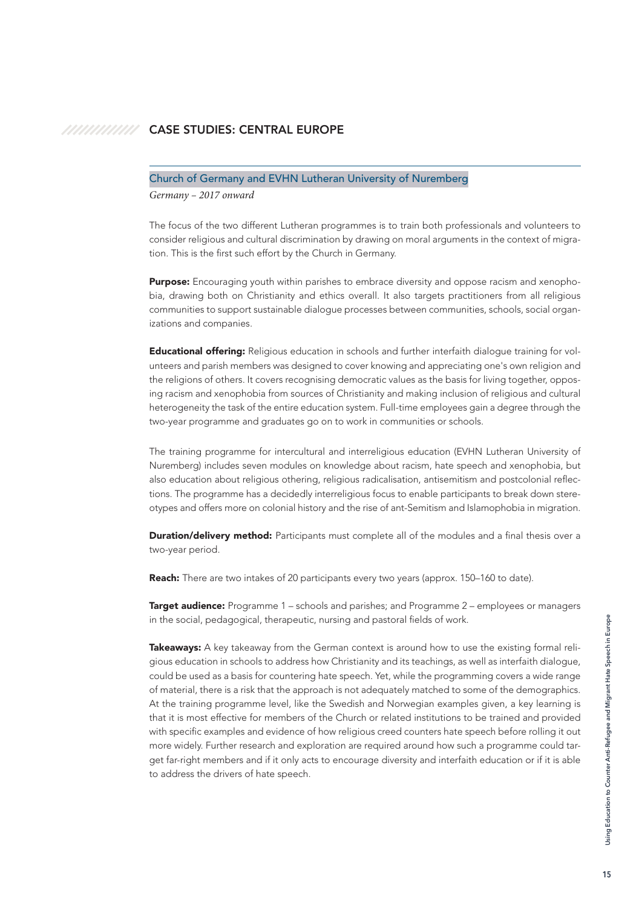### <span id="page-14-0"></span>**CASE STUDIES: CENTRAL EUROPE**

### Church of Germany and EVHN Lutheran University of Nuremberg

*Germany – 2017 onward* 

The focus of the two different Lutheran programmes is to train both professionals and volunteers to consider religious and cultural discrimination by drawing on moral arguments in the context of migration. This is the first such effort by the Church in Germany.

**Purpose:** Encouraging youth within parishes to embrace diversity and oppose racism and xenophobia, drawing both on Christianity and ethics overall. It also targets practitioners from all religious communities to support sustainable dialogue processes between communities, schools, social organizations and companies.

**Educational offering:** Religious education in schools and further interfaith dialogue training for volunteers and parish members was designed to cover knowing and appreciating one's own religion and the religions of others. It covers recognising democratic values as the basis for living together, opposing racism and xenophobia from sources of Christianity and making inclusion of religious and cultural heterogeneity the task of the entire education system. Full-time employees gain a degree through the two-year programme and graduates go on to work in communities or schools.

The training programme for intercultural and interreligious education (EVHN Lutheran University of Nuremberg) includes seven modules on knowledge about racism, hate speech and xenophobia, but also education about religious othering, religious radicalisation, antisemitism and postcolonial reflections. The programme has a decidedly interreligious focus to enable participants to break down stereotypes and offers more on colonial history and the rise of ant-Semitism and Islamophobia in migration.

**Duration/delivery method:** Participants must complete all of the modules and a final thesis over a two-year period.

Reach: There are two intakes of 20 participants every two years (approx. 150–160 to date).

**Target audience:** Programme 1 – schools and parishes; and Programme 2 – employees or managers in the social, pedagogical, therapeutic, nursing and pastoral fields of work.

Takeaways: A key takeaway from the German context is around how to use the existing formal religious education in schools to address how Christianity and its teachings, as well as interfaith dialogue, could be used as a basis for countering hate speech. Yet, while the programming covers a wide range of material, there is a risk that the approach is not adequately matched to some of the demographics. At the training programme level, like the Swedish and Norwegian examples given, a key learning is that it is most effective for members of the Church or related institutions to be trained and provided with specific examples and evidence of how religious creed counters hate speech before rolling it out more widely. Further research and exploration are required around how such a programme could target far-right members and if it only acts to encourage diversity and interfaith education or if it is able to address the drivers of hate speech.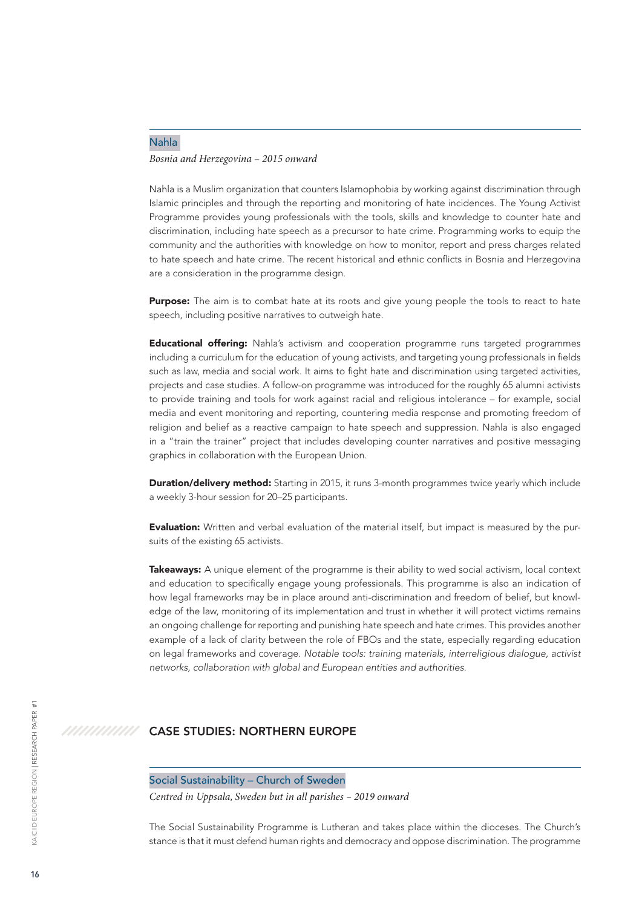### <span id="page-15-0"></span>Nahla *Bosnia and Herzegovina – 2015 onward*

Nahla is a Muslim organization that counters Islamophobia by working against discrimination through Islamic principles and through the reporting and monitoring of hate incidences. The Young Activist Programme provides young professionals with the tools, skills and knowledge to counter hate and discrimination, including hate speech as a precursor to hate crime. Programming works to equip the community and the authorities with knowledge on how to monitor, report and press charges related to hate speech and hate crime. The recent historical and ethnic conflicts in Bosnia and Herzegovina are a consideration in the programme design.

Purpose: The aim is to combat hate at its roots and give young people the tools to react to hate speech, including positive narratives to outweigh hate.

**Educational offering:** Nahla's activism and cooperation programme runs targeted programmes including a curriculum for the education of young activists, and targeting young professionals in fields such as law, media and social work. It aims to fight hate and discrimination using targeted activities, projects and case studies. A follow-on programme was introduced for the roughly 65 alumni activists to provide training and tools for work against racial and religious intolerance – for example, social media and event monitoring and reporting, countering media response and promoting freedom of religion and belief as a reactive campaign to hate speech and suppression. Nahla is also engaged in a "train the trainer" project that includes developing counter narratives and positive messaging graphics in collaboration with the European Union.

**Duration/delivery method:** Starting in 2015, it runs 3-month programmes twice yearly which include a weekly 3-hour session for 20–25 participants.

**Evaluation:** Written and verbal evaluation of the material itself, but impact is measured by the pursuits of the existing 65 activists.

Takeaways: A unique element of the programme is their ability to wed social activism, local context and education to specifically engage young professionals. This programme is also an indication of how legal frameworks may be in place around anti-discrimination and freedom of belief, but knowledge of the law, monitoring of its implementation and trust in whether it will protect victims remains an ongoing challenge for reporting and punishing hate speech and hate crimes. This provides another example of a lack of clarity between the role of FBOs and the state, especially regarding education on legal frameworks and coverage. *Notable tools: training materials, interreligious dialogue, activist networks, collaboration with global and European entities and authorities.* 

#### ///////////// CASE STUDIES: NORTHERN EUROPE

Social Sustainability – Church of Sweden

*Centred in Uppsala, Sweden but in all parishes – 2019 onward*

The Social Sustainability Programme is Lutheran and takes place within the dioceses. The Church's stance is that it must defend human rights and democracy and oppose discrimination. The programme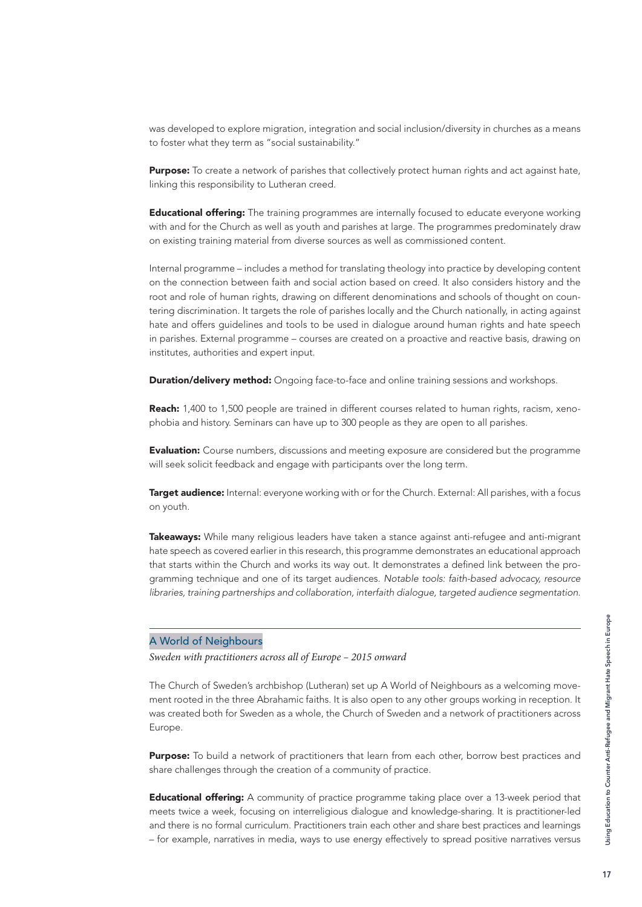was developed to explore migration, integration and social inclusion/diversity in churches as a means to foster what they term as "social sustainability."

Purpose: To create a network of parishes that collectively protect human rights and act against hate, linking this responsibility to Lutheran creed.

**Educational offering:** The training programmes are internally focused to educate everyone working with and for the Church as well as youth and parishes at large. The programmes predominately draw on existing training material from diverse sources as well as commissioned content.

Internal programme – includes a method for translating theology into practice by developing content on the connection between faith and social action based on creed. It also considers history and the root and role of human rights, drawing on different denominations and schools of thought on countering discrimination. It targets the role of parishes locally and the Church nationally, in acting against hate and offers guidelines and tools to be used in dialogue around human rights and hate speech in parishes. External programme – courses are created on a proactive and reactive basis, drawing on institutes, authorities and expert input.

**Duration/delivery method:** Ongoing face-to-face and online training sessions and workshops.

Reach: 1,400 to 1,500 people are trained in different courses related to human rights, racism, xenophobia and history. Seminars can have up to 300 people as they are open to all parishes.

**Evaluation:** Course numbers, discussions and meeting exposure are considered but the programme will seek solicit feedback and engage with participants over the long term.

Target audience: Internal: everyone working with or for the Church. External: All parishes, with a focus on youth.

Takeaways: While many religious leaders have taken a stance against anti-refugee and anti-migrant hate speech as covered earlier in this research, this programme demonstrates an educational approach that starts within the Church and works its way out. It demonstrates a defined link between the programming technique and one of its target audiences. *Notable tools: faith-based advocacy, resource libraries, training partnerships and collaboration, interfaith dialogue, targeted audience segmentation.* 

### A World of Neighbours

*Sweden with practitioners across all of Europe – 2015 onward*

The Church of Sweden's archbishop (Lutheran) set up A World of Neighbours as a welcoming movement rooted in the three Abrahamic faiths. It is also open to any other groups working in reception. It was created both for Sweden as a whole, the Church of Sweden and a network of practitioners across Europe.

**Purpose:** To build a network of practitioners that learn from each other, borrow best practices and share challenges through the creation of a community of practice.

**Educational offering:** A community of practice programme taking place over a 13-week period that meets twice a week, focusing on interreligious dialogue and knowledge-sharing. It is practitioner-led and there is no formal curriculum. Practitioners train each other and share best practices and learnings – for example, narratives in media, ways to use energy effectively to spread positive narratives versus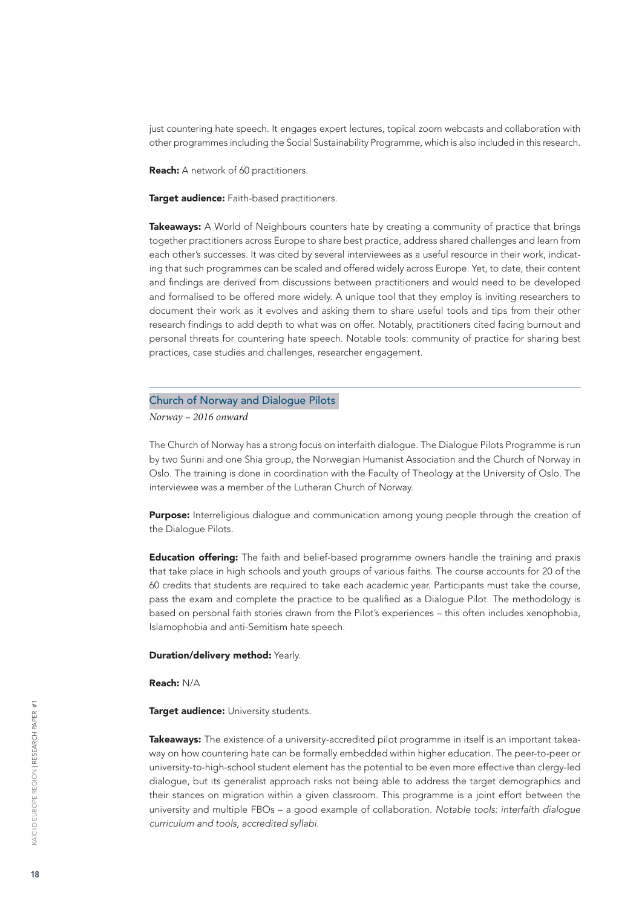just countering hate speech. It engages expert lectures, topical zoom webcasts and collaboration with other programmes including the Social Sustainability Programme, which is also included in this research.

**Reach:** A network of 60 practitioners.

Target audience: Faith-based practitioners.

Takeaways: A World of Neighbours counters hate by creating a community of practice that brings together practitioners across Europe to share best practice, address shared challenges and learn from each other's successes. It was cited by several interviewees as a useful resource in their work, indicating that such programmes can be scaled and offered widely across Europe. Yet, to date, their content and findings are derived from discussions between practitioners and would need to be developed and formalised to be offered more widely. A unique tool that they employ is inviting researchers to document their work as it evolves and asking them to share useful tools and tips from their other research findings to add depth to what was on offer. Notably, practitioners cited facing burnout and personal threats for countering hate speech. Notable tools: community of practice for sharing best practices, case studies and challenges, researcher engagement.

### Church of Norway and Dialogue Pilots

*Norway – 2016 onward*

The Church of Norway has a strong focus on interfaith dialogue. The Dialogue Pilots Programme is run by two Sunni and one Shia group, the Norwegian Humanist Association and the Church of Norway in Oslo. The training is done in coordination with the Faculty of Theology at the University of Oslo. The interviewee was a member of the Lutheran Church of Norway.

**Purpose:** Interreligious dialogue and communication among young people through the creation of the Dialogue Pilots.

**Education offering:** The faith and belief-based programme owners handle the training and praxis that take place in high schools and youth groups of various faiths. The course accounts for 20 of the 60 credits that students are required to take each academic year. Participants must take the course, pass the exam and complete the practice to be qualified as a Dialogue Pilot. The methodology is based on personal faith stories drawn from the Pilot's experiences – this often includes xenophobia, Islamophobia and anti-Semitism hate speech.

### Duration/delivery method: Yearly.

Reach: N/A

Target audience: University students.

Takeaways: The existence of a university-accredited pilot programme in itself is an important takeaway on how countering hate can be formally embedded within higher education. The peer-to-peer or university-to-high-school student element has the potential to be even more effective than clergy-led dialogue, but its generalist approach risks not being able to address the target demographics and their stances on migration within a given classroom. This programme is a joint effort between the university and multiple FBOs – a good example of collaboration. *Notable tools: interfaith dialogue curriculum and tools, accredited syllabi.*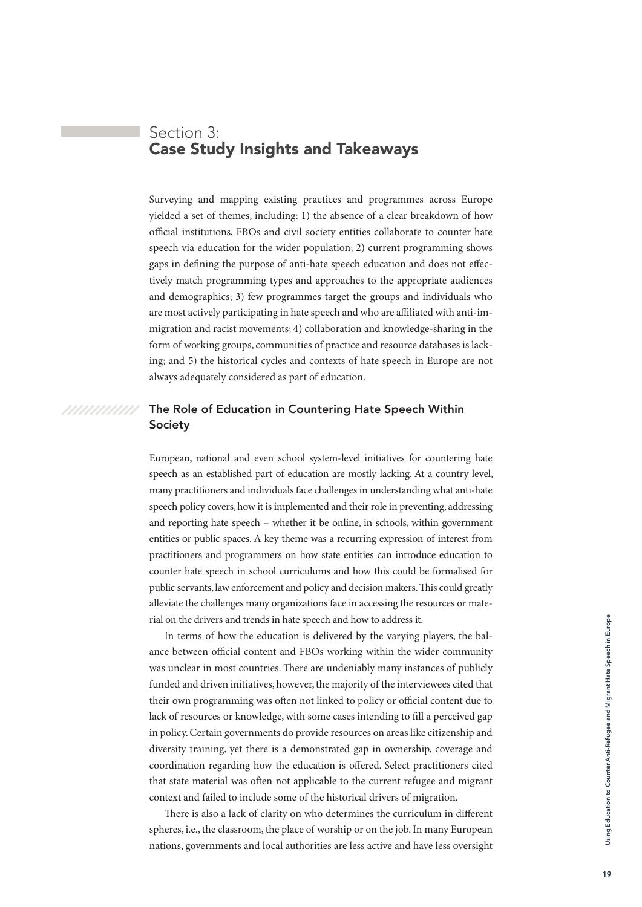# <span id="page-18-0"></span>Section 3: Case Study Insights and Takeaways

Surveying and mapping existing practices and programmes across Europe yielded a set of themes, including: 1) the absence of a clear breakdown of how official institutions, FBOs and civil society entities collaborate to counter hate speech via education for the wider population; 2) current programming shows gaps in defining the purpose of anti-hate speech education and does not effectively match programming types and approaches to the appropriate audiences and demographics; 3) few programmes target the groups and individuals who are most actively participating in hate speech and who are affiliated with anti-immigration and racist movements; 4) collaboration and knowledge-sharing in the form of working groups, communities of practice and resource databases is lacking; and 5) the historical cycles and contexts of hate speech in Europe are not always adequately considered as part of education.

### The Role of Education in Countering Hate Speech Within Society

/////////////

European, national and even school system-level initiatives for countering hate speech as an established part of education are mostly lacking. At a country level, many practitioners and individuals face challenges in understanding what anti-hate speech policy covers, how it is implemented and their role in preventing, addressing and reporting hate speech – whether it be online, in schools, within government entities or public spaces. A key theme was a recurring expression of interest from practitioners and programmers on how state entities can introduce education to counter hate speech in school curriculums and how this could be formalised for public servants, law enforcement and policy and decision makers. This could greatly alleviate the challenges many organizations face in accessing the resources or material on the drivers and trends in hate speech and how to address it.

In terms of how the education is delivered by the varying players, the balance between official content and FBOs working within the wider community was unclear in most countries. There are undeniably many instances of publicly funded and driven initiatives, however, the majority of the interviewees cited that their own programming was often not linked to policy or official content due to lack of resources or knowledge, with some cases intending to fill a perceived gap in policy. Certain governments do provide resources on areas like citizenship and diversity training, yet there is a demonstrated gap in ownership, coverage and coordination regarding how the education is offered. Select practitioners cited that state material was often not applicable to the current refugee and migrant context and failed to include some of the historical drivers of migration.

There is also a lack of clarity on who determines the curriculum in different spheres, i.e., the classroom, the place of worship or on the job. In many European nations, governments and local authorities are less active and have less oversight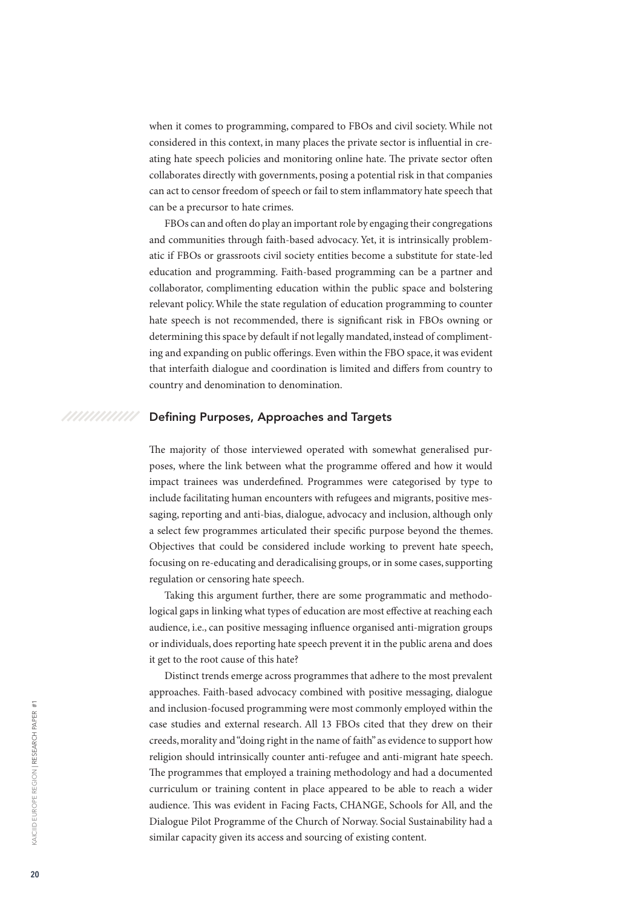<span id="page-19-0"></span>when it comes to programming, compared to FBOs and civil society. While not considered in this context, in many places the private sector is influential in creating hate speech policies and monitoring online hate. The private sector often collaborates directly with governments, posing a potential risk in that companies can act to censor freedom of speech or fail to stem inflammatory hate speech that can be a precursor to hate crimes.

FBOs can and often do play an important role by engaging their congregations and communities through faith-based advocacy. Yet, it is intrinsically problematic if FBOs or grassroots civil society entities become a substitute for state-led education and programming. Faith-based programming can be a partner and collaborator, complimenting education within the public space and bolstering relevant policy. While the state regulation of education programming to counter hate speech is not recommended, there is significant risk in FBOs owning or determining this space by default if not legally mandated, instead of complimenting and expanding on public offerings. Even within the FBO space, it was evident that interfaith dialogue and coordination is limited and differs from country to country and denomination to denomination.

#### ///////////// Defining Purposes, Approaches and Targets

The majority of those interviewed operated with somewhat generalised purposes, where the link between what the programme offered and how it would impact trainees was underdefined. Programmes were categorised by type to include facilitating human encounters with refugees and migrants, positive messaging, reporting and anti-bias, dialogue, advocacy and inclusion, although only a select few programmes articulated their specific purpose beyond the themes. Objectives that could be considered include working to prevent hate speech, focusing on re-educating and deradicalising groups, or in some cases, supporting regulation or censoring hate speech.

Taking this argument further, there are some programmatic and methodological gaps in linking what types of education are most effective at reaching each audience, i.e., can positive messaging influence organised anti-migration groups or individuals, does reporting hate speech prevent it in the public arena and does it get to the root cause of this hate?

Distinct trends emerge across programmes that adhere to the most prevalent approaches. Faith-based advocacy combined with positive messaging, dialogue and inclusion-focused programming were most commonly employed within the case studies and external research. All 13 FBOs cited that they drew on their creeds, morality and "doing right in the name of faith" as evidence to support how religion should intrinsically counter anti-refugee and anti-migrant hate speech. The programmes that employed a training methodology and had a documented curriculum or training content in place appeared to be able to reach a wider audience. This was evident in Facing Facts, CHANGE, Schools for All, and the Dialogue Pilot Programme of the Church of Norway. Social Sustainability had a similar capacity given its access and sourcing of existing content.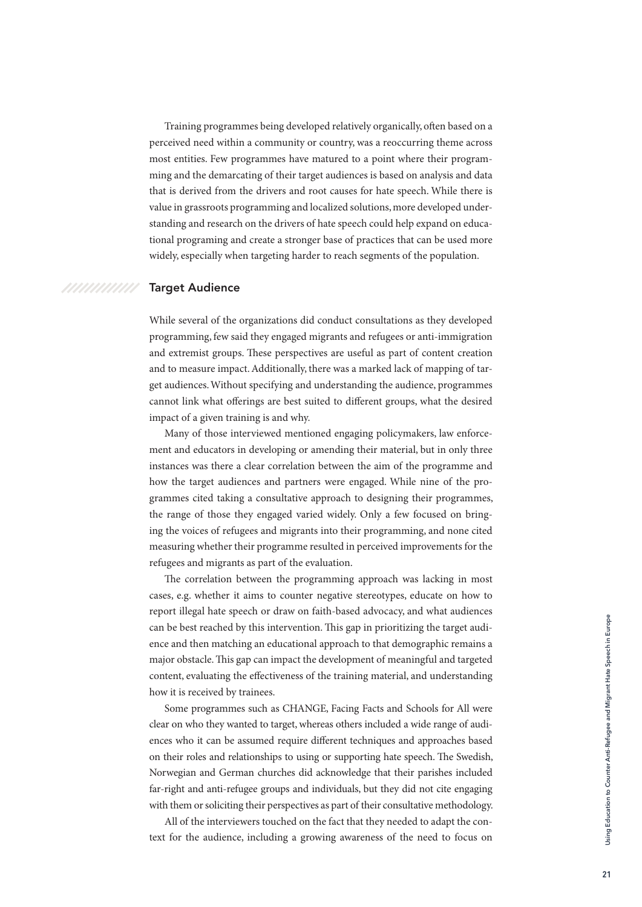<span id="page-20-0"></span>Training programmes being developed relatively organically, often based on a perceived need within a community or country, was a reoccurring theme across most entities. Few programmes have matured to a point where their programming and the demarcating of their target audiences is based on analysis and data that is derived from the drivers and root causes for hate speech. While there is value in grassroots programming and localized solutions, more developed understanding and research on the drivers of hate speech could help expand on educational programing and create a stronger base of practices that can be used more widely, especially when targeting harder to reach segments of the population.

### Target Audience

/////////////

While several of the organizations did conduct consultations as they developed programming, few said they engaged migrants and refugees or anti-immigration and extremist groups. These perspectives are useful as part of content creation and to measure impact. Additionally, there was a marked lack of mapping of target audiences. Without specifying and understanding the audience, programmes cannot link what offerings are best suited to different groups, what the desired impact of a given training is and why.

Many of those interviewed mentioned engaging policymakers, law enforcement and educators in developing or amending their material, but in only three instances was there a clear correlation between the aim of the programme and how the target audiences and partners were engaged. While nine of the programmes cited taking a consultative approach to designing their programmes, the range of those they engaged varied widely. Only a few focused on bringing the voices of refugees and migrants into their programming, and none cited measuring whether their programme resulted in perceived improvements for the refugees and migrants as part of the evaluation.

The correlation between the programming approach was lacking in most cases, e.g. whether it aims to counter negative stereotypes, educate on how to report illegal hate speech or draw on faith-based advocacy, and what audiences can be best reached by this intervention. This gap in prioritizing the target audience and then matching an educational approach to that demographic remains a major obstacle. This gap can impact the development of meaningful and targeted content, evaluating the effectiveness of the training material, and understanding how it is received by trainees.

Some programmes such as CHANGE, Facing Facts and Schools for All were clear on who they wanted to target, whereas others included a wide range of audiences who it can be assumed require different techniques and approaches based on their roles and relationships to using or supporting hate speech. The Swedish, Norwegian and German churches did acknowledge that their parishes included far-right and anti-refugee groups and individuals, but they did not cite engaging with them or soliciting their perspectives as part of their consultative methodology.

All of the interviewers touched on the fact that they needed to adapt the context for the audience, including a growing awareness of the need to focus on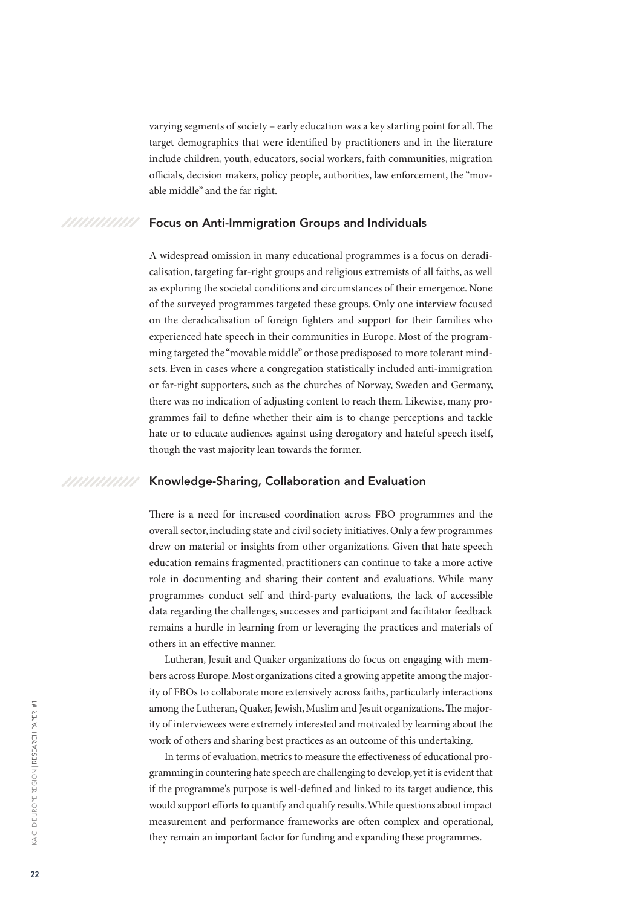<span id="page-21-0"></span>varying segments of society – early education was a key starting point for all. The target demographics that were identified by practitioners and in the literature include children, youth, educators, social workers, faith communities, migration officials, decision makers, policy people, authorities, law enforcement, the "movable middle" and the far right.

#### ///////////// Focus on Anti-Immigration Groups and Individuals

A widespread omission in many educational programmes is a focus on deradicalisation, targeting far-right groups and religious extremists of all faiths, as well as exploring the societal conditions and circumstances of their emergence. None of the surveyed programmes targeted these groups. Only one interview focused on the deradicalisation of foreign fighters and support for their families who experienced hate speech in their communities in Europe. Most of the programming targeted the "movable middle" or those predisposed to more tolerant mindsets. Even in cases where a congregation statistically included anti-immigration or far-right supporters, such as the churches of Norway, Sweden and Germany, there was no indication of adjusting content to reach them. Likewise, many programmes fail to define whether their aim is to change perceptions and tackle hate or to educate audiences against using derogatory and hateful speech itself, though the vast majority lean towards the former.

#### ///////////// Knowledge-Sharing, Collaboration and Evaluation

There is a need for increased coordination across FBO programmes and the overall sector, including state and civil society initiatives. Only a few programmes drew on material or insights from other organizations. Given that hate speech education remains fragmented, practitioners can continue to take a more active role in documenting and sharing their content and evaluations. While many programmes conduct self and third-party evaluations, the lack of accessible data regarding the challenges, successes and participant and facilitator feedback remains a hurdle in learning from or leveraging the practices and materials of others in an effective manner.

Lutheran, Jesuit and Quaker organizations do focus on engaging with members across Europe. Most organizations cited a growing appetite among the majority of FBOs to collaborate more extensively across faiths, particularly interactions among the Lutheran, Quaker, Jewish, Muslim and Jesuit organizations. The majority of interviewees were extremely interested and motivated by learning about the work of others and sharing best practices as an outcome of this undertaking.

In terms of evaluation, metrics to measure the effectiveness of educational programming in countering hate speech are challenging to develop, yet it is evident that if the programme's purpose is well-defined and linked to its target audience, this would support efforts to quantify and qualify results. While questions about impact measurement and performance frameworks are often complex and operational, they remain an important factor for funding and expanding these programmes.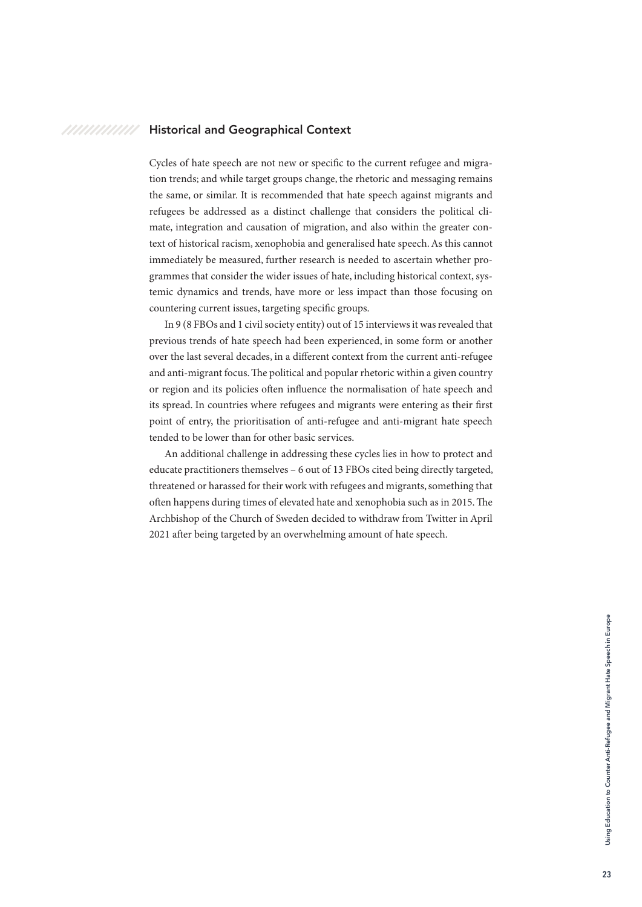#### <span id="page-22-0"></span>///////////// Historical and Geographical Context

Cycles of hate speech are not new or specific to the current refugee and migration trends; and while target groups change, the rhetoric and messaging remains the same, or similar. It is recommended that hate speech against migrants and refugees be addressed as a distinct challenge that considers the political climate, integration and causation of migration, and also within the greater context of historical racism, xenophobia and generalised hate speech. As this cannot immediately be measured, further research is needed to ascertain whether programmes that consider the wider issues of hate, including historical context, systemic dynamics and trends, have more or less impact than those focusing on countering current issues, targeting specific groups.

In 9 (8 FBOs and 1 civil society entity) out of 15 interviews it was revealed that previous trends of hate speech had been experienced, in some form or another over the last several decades, in a different context from the current anti-refugee and anti-migrant focus. The political and popular rhetoric within a given country or region and its policies often influence the normalisation of hate speech and its spread. In countries where refugees and migrants were entering as their first point of entry, the prioritisation of anti-refugee and anti-migrant hate speech tended to be lower than for other basic services.

An additional challenge in addressing these cycles lies in how to protect and educate practitioners themselves – 6 out of 13 FBOs cited being directly targeted, threatened or harassed for their work with refugees and migrants, something that often happens during times of elevated hate and xenophobia such as in 2015. The Archbishop of the Church of Sweden decided to withdraw from Twitter in April 2021 after being targeted by an overwhelming amount of hate speech.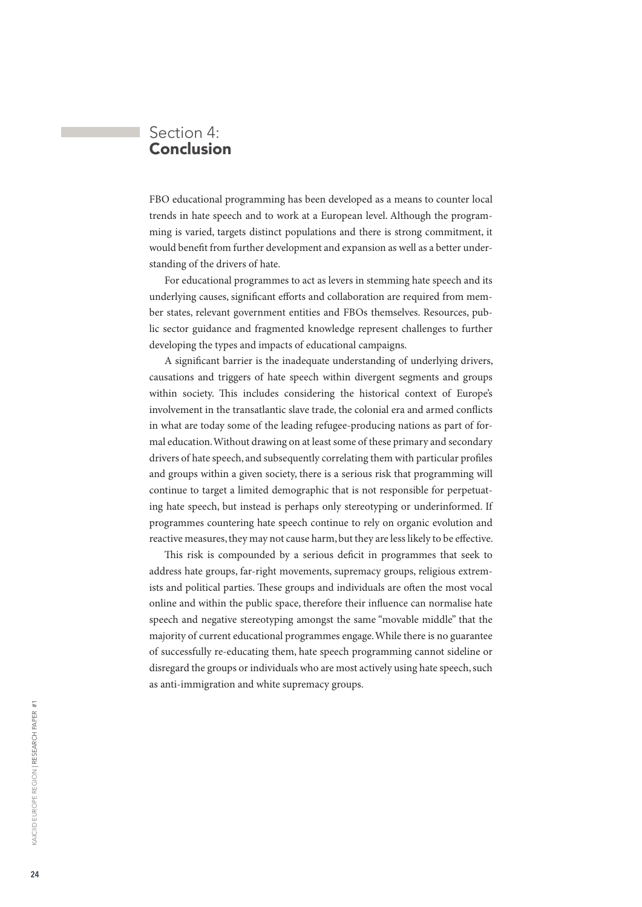# <span id="page-23-0"></span>Section 4: Conclusion

FBO educational programming has been developed as a means to counter local trends in hate speech and to work at a European level. Although the programming is varied, targets distinct populations and there is strong commitment, it would benefit from further development and expansion as well as a better understanding of the drivers of hate.

For educational programmes to act as levers in stemming hate speech and its underlying causes, significant efforts and collaboration are required from member states, relevant government entities and FBOs themselves. Resources, public sector guidance and fragmented knowledge represent challenges to further developing the types and impacts of educational campaigns.

A significant barrier is the inadequate understanding of underlying drivers, causations and triggers of hate speech within divergent segments and groups within society. This includes considering the historical context of Europe's involvement in the transatlantic slave trade, the colonial era and armed conflicts in what are today some of the leading refugee-producing nations as part of formal education. Without drawing on at least some of these primary and secondary drivers of hate speech, and subsequently correlating them with particular profiles and groups within a given society, there is a serious risk that programming will continue to target a limited demographic that is not responsible for perpetuating hate speech, but instead is perhaps only stereotyping or underinformed. If programmes countering hate speech continue to rely on organic evolution and reactive measures, they may not cause harm, but they are less likely to be effective.

This risk is compounded by a serious deficit in programmes that seek to address hate groups, far-right movements, supremacy groups, religious extremists and political parties. These groups and individuals are often the most vocal online and within the public space, therefore their influence can normalise hate speech and negative stereotyping amongst the same "movable middle" that the majority of current educational programmes engage. While there is no guarantee of successfully re-educating them, hate speech programming cannot sideline or disregard the groups or individuals who are most actively using hate speech, such as anti-immigration and white supremacy groups.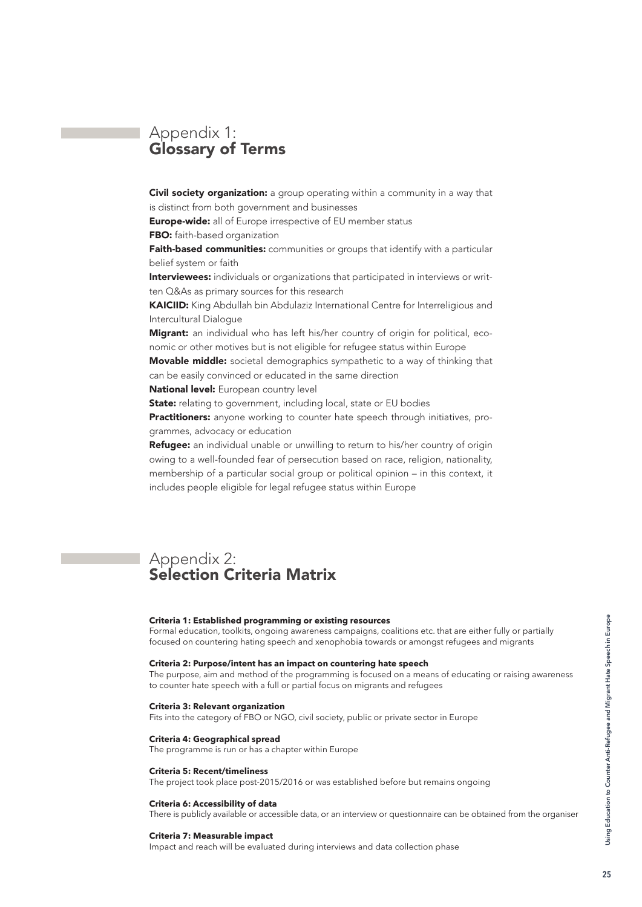# <span id="page-24-0"></span>Appendix 1: Glossary of Terms

**Civil society organization:** a group operating within a community in a way that is distinct from both government and businesses

**Europe-wide:** all of Europe irrespective of EU member status

**FBO:** faith-based organization

Faith-based communities: communities or groups that identify with a particular belief system or faith

Interviewees: individuals or organizations that participated in interviews or written Q&As as primary sources for this research

KAICIID: King Abdullah bin Abdulaziz International Centre for Interreligious and Intercultural Dialogue

Migrant: an individual who has left his/her country of origin for political, economic or other motives but is not eligible for refugee status within Europe

Movable middle: societal demographics sympathetic to a way of thinking that can be easily convinced or educated in the same direction

National level: European country level

State: relating to government, including local, state or EU bodies

Practitioners: anyone working to counter hate speech through initiatives, programmes, advocacy or education

Refugee: an individual unable or unwilling to return to his/her country of origin owing to a well-founded fear of persecution based on race, religion, nationality, membership of a particular social group or political opinion – in this context, it includes people eligible for legal refugee status within Europe

# Appendix 2: Selection Criteria Matrix

### **Criteria 1: Established programming or existing resources**

Formal education, toolkits, ongoing awareness campaigns, coalitions etc. that are either fully or partially focused on countering hating speech and xenophobia towards or amongst refugees and migrants

### **Criteria 2: Purpose/intent has an impact on countering hate speech**

The purpose, aim and method of the programming is focused on a means of educating or raising awareness to counter hate speech with a full or partial focus on migrants and refugees

#### **Criteria 3: Relevant organization**

Fits into the category of FBO or NGO, civil society, public or private sector in Europe

### **Criteria 4: Geographical spread**

The programme is run or has a chapter within Europe

### **Criteria 5: Recent/timeliness**

The project took place post-2015/2016 or was established before but remains ongoing

#### **Criteria 6: Accessibility of data**

There is publicly available or accessible data, or an interview or questionnaire can be obtained from the organiser

#### **Criteria 7: Measurable impact**

Impact and reach will be evaluated during interviews and data collection phase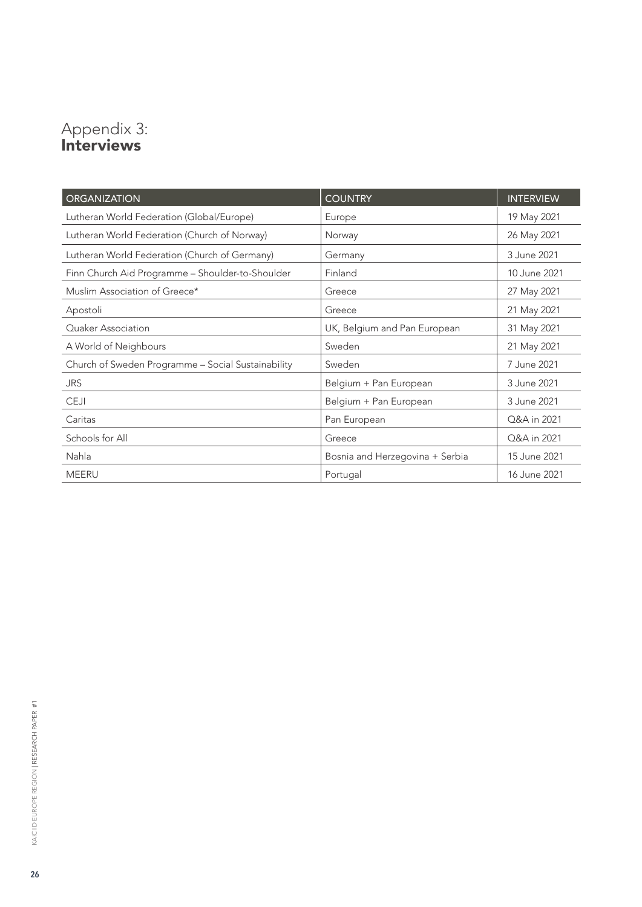# <span id="page-25-0"></span>Appendix 3: Interviews

| <b>ORGANIZATION</b>                                | <b>COUNTRY</b>                  | <b>INTERVIEW</b> |
|----------------------------------------------------|---------------------------------|------------------|
| Lutheran World Federation (Global/Europe)          | Europe                          | 19 May 2021      |
| Lutheran World Federation (Church of Norway)       | Norway                          | 26 May 2021      |
| Lutheran World Federation (Church of Germany)      | Germany                         | 3 June 2021      |
| Finn Church Aid Programme - Shoulder-to-Shoulder   | Finland                         | 10 June 2021     |
| Muslim Association of Greece*                      | Greece                          | 27 May 2021      |
| Apostoli                                           | Greece                          | 21 May 2021      |
| Quaker Association                                 | UK, Belgium and Pan European    | 31 May 2021      |
| A World of Neighbours                              | Sweden                          | 21 May 2021      |
| Church of Sweden Programme - Social Sustainability | Sweden                          | 7 June 2021      |
| <b>JRS</b>                                         | Belgium + Pan European          | 3 June 2021      |
| <b>CEJI</b>                                        | Belgium + Pan European          | 3 June 2021      |
| Caritas                                            | Pan European                    | Q&A in 2021      |
| Schools for All                                    | Greece                          | Q&A in 2021      |
| Nahla                                              | Bosnia and Herzegovina + Serbia | 15 June 2021     |
| <b>MEERU</b>                                       | Portugal                        | 16 June 2021     |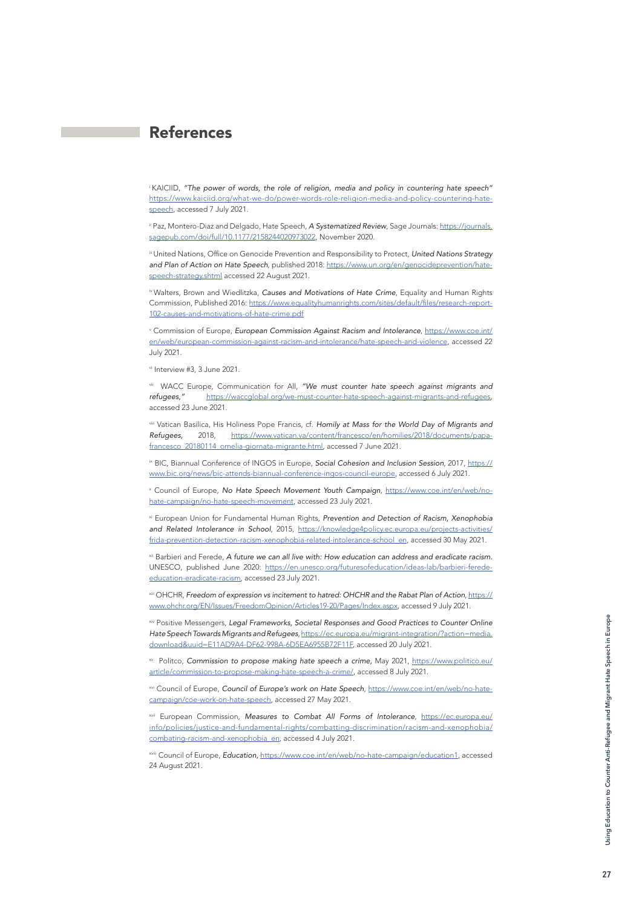# <span id="page-26-0"></span>References

<sup>i</sup>KAICIID, *"The power of words, the role of religion, media and policy in countering hate speech"*  [https://www.kaiciid.org/what-we-do/power-words-role-religion-media-and-policy-countering-hate](https://www.kaiciid.org/what-we-do/power-words-role-religion-media-and-policy-countering-hate-speech)[speech](https://www.kaiciid.org/what-we-do/power-words-role-religion-media-and-policy-countering-hate-speech), accessed 7 July 2021.

ii Paz, Montero-Diaz and Delgado, Hate Speech, *A Systematized Review*, Sage Journals: [https://journals.](https://journals.sagepub.com/doi/full/10.1177/2158244020973022) [sagepub.com/doi/full/10.1177/2158244020973022,](https://journals.sagepub.com/doi/full/10.1177/2158244020973022) November 2020.

iii United Nations, Office on Genocide Prevention and Responsibility to Protect, *United Nations Strategy*  and Plan of Action on Hate Speech, published 2018: [https://www.un.org/en/genocideprevention/hate](https://www.un.org/en/genocideprevention/hate-speech-strategy.shtml)[speech-strategy.shtml](https://www.un.org/en/genocideprevention/hate-speech-strategy.shtml) accessed 22 August 2021.

iv Walters, Brown and Wiedlitzka, *Causes and Motivations of Hate Crime*, Equality and Human Rights Commission, Published 2016: [https://www.equalityhumanrights.com/sites/default/files/research-report-](https://www.equalityhumanrights.com/sites/default/files/research-report-102-causes-and-motivations-of-hate-crime.pdf)[102-causes-and-motivations-of-hate-crime.pdf](https://www.equalityhumanrights.com/sites/default/files/research-report-102-causes-and-motivations-of-hate-crime.pdf)

v Commission of Europe, *European Commission Against Racism and Intolerance*, [https://www.coe.int/](https://www.coe.int/en/web/european-commission-against-racism-and-intolerance/hate-speech-and-violence) [en/web/european-commission-against-racism-and-intolerance/hate-speech-and-violence,](https://www.coe.int/en/web/european-commission-against-racism-and-intolerance/hate-speech-and-violence) accessed 22 July 2021.

vi Interview #3, 3 June 2021.

vii WACC Europe, Communication for All, *"We must counter hate speech against migrants and refugees,"* <https://waccglobal.org/we-must-counter-hate-speech-against-migrants-and-refugees>, accessed 23 June 2021.

viii Vatican Basilica, His Holiness Pope Francis, cf. *Homily at Mass for the World Day of Migrants and Refugees,* 2018, [https://www.vatican.va/content/francesco/en/homilies/2018/documents/papa](https://www.vatican.va/content/francesco/en/homilies/2018/documents/papa-francesco_20180114_omelia-giornata-migrante.html)[francesco\\_20180114\\_omelia-giornata-migrante.html,](https://www.vatican.va/content/francesco/en/homilies/2018/documents/papa-francesco_20180114_omelia-giornata-migrante.html) accessed 7 June 2021.

ix BIC, Biannual Conference of INGOS in Europe, *Social Cohesion and Inclusion Session*, 2017, [https://](https://www.bic.org/news/bic-attends-biannual-conference-ingos-council-europe) [www.bic.org/news/bic-attends-biannual-conference-ingos-council-europe,](https://www.bic.org/news/bic-attends-biannual-conference-ingos-council-europe) accessed 6 July 2021.

x Council of Europe, *No Hate Speech Movement Youth Campaign*, [https://www.coe.int/en/web/no](https://www.coe.int/en/web/no-hate-campaign/no-hate-speech-movement)[hate-campaign/no-hate-speech-movement](https://www.coe.int/en/web/no-hate-campaign/no-hate-speech-movement), accessed 23 July 2021.

xi European Union for Fundamental Human Rights, *Prevention and Detection of Racism, Xenophobia and Related Intolerance in School*, 2015, [https://knowledge4policy.ec.europa.eu/projects-activities/](https://knowledge4policy.ec.europa.eu/projects-activities/frida-prevention-detection-racism-xenophobia-related-intolerance-school_en) [frida-prevention-detection-racism-xenophobia-related-intolerance-school\\_en](https://knowledge4policy.ec.europa.eu/projects-activities/frida-prevention-detection-racism-xenophobia-related-intolerance-school_en), accessed 30 May 2021.

xii Barbieri and Ferede, *A future we can all live with: How education can address and eradicate racism.* UNESCO, published June 2020: [https://en.unesco.org/futuresofeducation/ideas-lab/barbieri-ferede](https://en.unesco.org/futuresofeducation/ideas-lab/barbieri-ferede-education-eradicate-racism)[education-eradicate-racism](https://en.unesco.org/futuresofeducation/ideas-lab/barbieri-ferede-education-eradicate-racism), accessed 23 July 2021.

xiii OHCHR, *Freedom of expression vs incitement to hatred: OHCHR and the Rabat Plan of Action*, [https://](https://www.ohchr.org/EN/Issues/FreedomOpinion/Articles19-20/Pages/Index.aspx) [www.ohchr.org/EN/Issues/FreedomOpinion/Articles19-20/Pages/Index.aspx,](https://www.ohchr.org/EN/Issues/FreedomOpinion/Articles19-20/Pages/Index.aspx) accessed 9 July 2021.

xiv Positive Messengers, *Legal Frameworks, Societal Responses and Good Practices to Counter Online Hate Speech Towards Migrants and Refugees*, [https://ec.europa.eu/migrant-integration/?action=media.](https://ec.europa.eu/migrant-integration/?action=media.download&uuid=E11AD9A4-DF62-998A-6D5EA6955B72F11F) [download&uuid=E11AD9A4-DF62-998A-6D5EA6955B72F11F](https://ec.europa.eu/migrant-integration/?action=media.download&uuid=E11AD9A4-DF62-998A-6D5EA6955B72F11F), accessed 20 July 2021.

xv Politco, *Commission to propose making hate speech a crime,* May 2021, [https://www.politico.eu/](https://www.politico.eu/article/commission-to-propose-making-hate-speech-a-crime/) [article/commission-to-propose-making-hate-speech-a-crime/,](https://www.politico.eu/article/commission-to-propose-making-hate-speech-a-crime/) accessed 8 July 2021.

xvi Council of Europe, Council of Europe's work on Hate Speech, [https://www.coe.int/en/web/no-hate](https://www.coe.int/en/web/no-hate-campaign/coe-work-on-hate-speech)[campaign/coe-work-on-hate-speech](https://www.coe.int/en/web/no-hate-campaign/coe-work-on-hate-speech), accessed 27 May 2021.

xvii European Commission, *Measures to Combat All Forms of Intolerance*, [https://ec.europa.eu/](https://ec.europa.eu/info/policies/justice-and-fundamental-rights/combatting-discrimination/racism-and-xenophobia/combating-racism-and-xenophobia_en) [info/policies/justice-and-fundamental-rights/combatting-discrimination/racism-and-xenophobia/](https://ec.europa.eu/info/policies/justice-and-fundamental-rights/combatting-discrimination/racism-and-xenophobia/combating-racism-and-xenophobia_en) [combating-racism-and-xenophobia\\_en](https://ec.europa.eu/info/policies/justice-and-fundamental-rights/combatting-discrimination/racism-and-xenophobia/combating-racism-and-xenophobia_en), accessed 4 July 2021.

xviii Council of Europe, *Education,* [https://www.coe.int/en/web/no-hate-campaign/education1,](https://www.coe.int/en/web/no-hate-campaign/education1) accessed 24 August 2021.